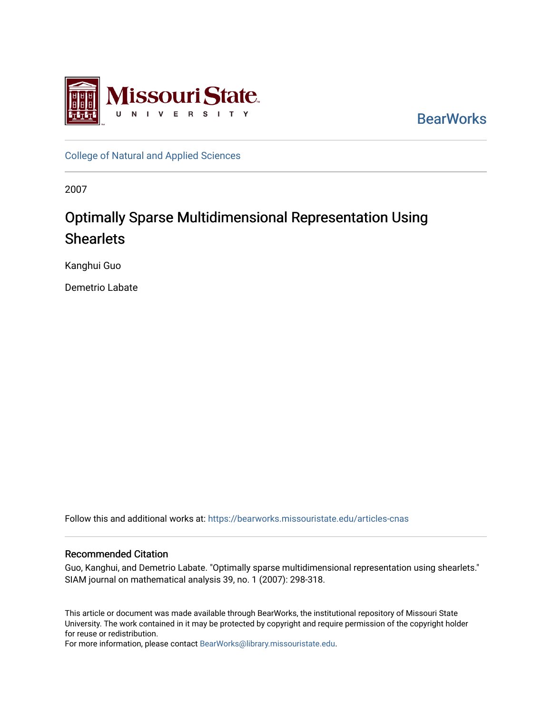

**BearWorks** 

[College of Natural and Applied Sciences](https://bearworks.missouristate.edu/articles-cnas)

2007

# Optimally Sparse Multidimensional Representation Using **Shearlets**

Kanghui Guo

Demetrio Labate

Follow this and additional works at: [https://bearworks.missouristate.edu/articles-cnas](https://bearworks.missouristate.edu/articles-cnas?utm_source=bearworks.missouristate.edu%2Farticles-cnas%2F557&utm_medium=PDF&utm_campaign=PDFCoverPages) 

# Recommended Citation

Guo, Kanghui, and Demetrio Labate. "Optimally sparse multidimensional representation using shearlets." SIAM journal on mathematical analysis 39, no. 1 (2007): 298-318.

This article or document was made available through BearWorks, the institutional repository of Missouri State University. The work contained in it may be protected by copyright and require permission of the copyright holder for reuse or redistribution.

For more information, please contact [BearWorks@library.missouristate.edu.](mailto:BearWorks@library.missouristate.edu)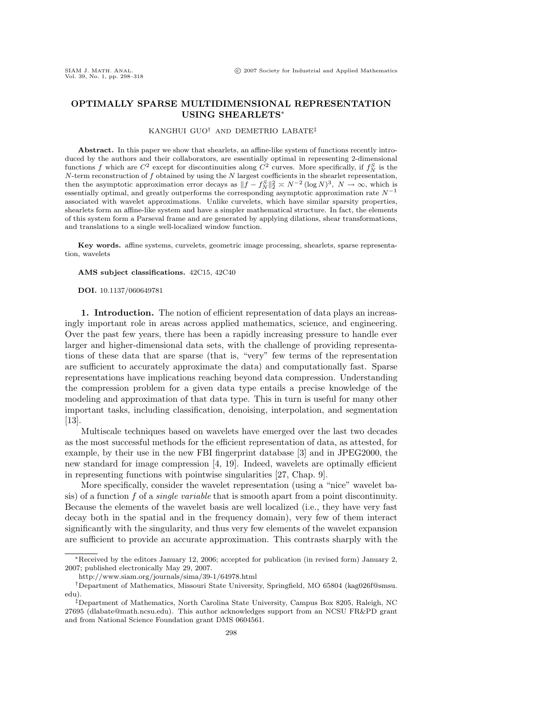## **OPTIMALLY SPARSE MULTIDIMENSIONAL REPRESENTATION USING SHEARLETS**<sup>∗</sup>

## KANGHUI GUO† AND DEMETRIO LABATE‡

Abstract. In this paper we show that shearlets, an affine-like system of functions recently introduced by the authors and their collaborators, are essentially optimal in representing 2-dimensional functions f which are  $C^2$  except for discontinuities along  $C^2$  curves. More specifically, if  $f_N^S$  is the  $N$ -term reconstruction of f obtained by using the  $N$  largest coefficients in the shearlet representation, then the asymptotic approximation error decays as  $||f - f_N^S||_2^2 \approx N^{-2} (\log N)^3$ ,  $N \to \infty$ , which is essentially optimal, and greatly outperforms the corresponding asymptotic approximation rate  $N^{-1}$ associated with wavelet approximations. Unlike curvelets, which have similar sparsity properties, shearlets form an affine-like system and have a simpler mathematical structure. In fact, the elements of this system form a Parseval frame and are generated by applying dilations, shear transformations, and translations to a single well-localized window function.

**Key words.** affine systems, curvelets, geometric image processing, shearlets, sparse representation, wavelets

#### **AMS subject classifications.** 42C15, 42C40

#### **DOI.** 10.1137/060649781

**1. Introduction.** The notion of efficient representation of data plays an increasingly important role in areas across applied mathematics, science, and engineering. Over the past few years, there has been a rapidly increasing pressure to handle ever larger and higher-dimensional data sets, with the challenge of providing representations of these data that are sparse (that is, "very" few terms of the representation are sufficient to accurately approximate the data) and computationally fast. Sparse representations have implications reaching beyond data compression. Understanding the compression problem for a given data type entails a precise knowledge of the modeling and approximation of that data type. This in turn is useful for many other important tasks, including classification, denoising, interpolation, and segmentation [13].

Multiscale techniques based on wavelets have emerged over the last two decades as the most successful methods for the efficient representation of data, as attested, for example, by their use in the new FBI fingerprint database [3] and in JPEG2000, the new standard for image compression [4, 19]. Indeed, wavelets are optimally efficient in representing functions with pointwise singularities [27, Chap. 9].

More specifically, consider the wavelet representation (using a "nice" wavelet basis) of a function  $f$  of a *single variable* that is smooth apart from a point discontinuity. Because the elements of the wavelet basis are well localized (i.e., they have very fast decay both in the spatial and in the frequency domain), very few of them interact significantly with the singularity, and thus very few elements of the wavelet expansion are sufficient to provide an accurate approximation. This contrasts sharply with the

<sup>∗</sup>Received by the editors January 12, 2006; accepted for publication (in revised form) January 2, 2007; published electronically May 29, 2007.

http://www.siam.org/journals/sima/39-1/64978.html

<sup>†</sup>Department of Mathematics, Missouri State University, Springfield, MO 65804 (kag026f@smsu. edu).

<sup>‡</sup>Department of Mathematics, North Carolina State University, Campus Box 8205, Raleigh, NC 27695 (dlabate@math.ncsu.edu). This author acknowledges support from an NCSU FR&PD grant and from National Science Foundation grant DMS 0604561.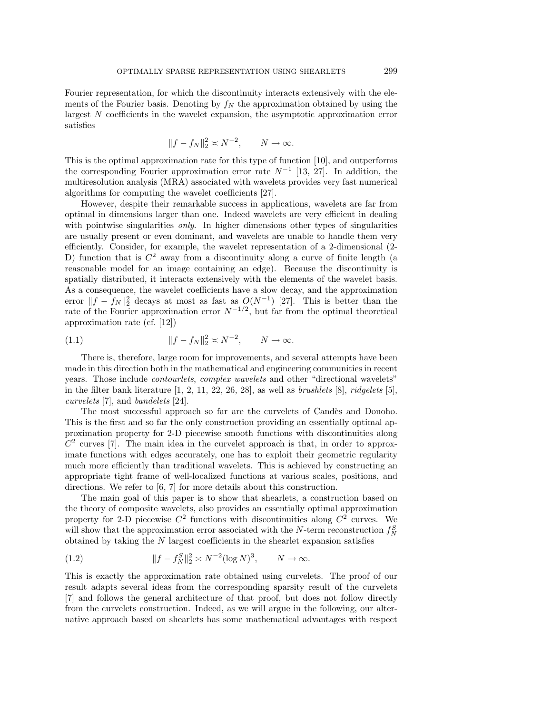Fourier representation, for which the discontinuity interacts extensively with the elements of the Fourier basis. Denoting by  $f_N$  the approximation obtained by using the largest N coefficients in the wavelet expansion, the asymptotic approximation error satisfies

$$
|f - f_N||_2^2 \asymp N^{-2}, \qquad N \to \infty.
$$

This is the optimal approximation rate for this type of function [10], and outperforms the corresponding Fourier approximation error rate  $N^{-1}$  [13, 27]. In addition, the multiresolution analysis (MRA) associated with wavelets provides very fast numerical algorithms for computing the wavelet coefficients [27].

However, despite their remarkable success in applications, wavelets are far from optimal in dimensions larger than one. Indeed wavelets are very efficient in dealing with pointwise singularities *only*. In higher dimensions other types of singularities are usually present or even dominant, and wavelets are unable to handle them very efficiently. Consider, for example, the wavelet representation of a 2-dimensional (2- D) function that is  $C^2$  away from a discontinuity along a curve of finite length (a reasonable model for an image containing an edge). Because the discontinuity is spatially distributed, it interacts extensively with the elements of the wavelet basis. As a consequence, the wavelet coefficients have a slow decay, and the approximation error  $||f - f_N||_2^2$  decays at most as fast as  $O(N^{-1})$  [27]. This is better than the rate of the Fourier approximation error  $N^{-1/2}$ , but far from the optimal theoretical approximation rate (cf. [12])

(1.1) 
$$
||f - f_N||_2^2 \approx N^{-2}, \qquad N \to \infty.
$$

There is, therefore, large room for improvements, and several attempts have been made in this direction both in the mathematical and engineering communities in recent years. Those include *contourlets*, *complex wavelets* and other "directional wavelets" in the filter bank literature  $[1, 2, 11, 22, 26, 28]$ , as well as *brushlets*  $[8]$ , *ridgelets*  $[5]$ , curvelets [7], and bandelets [24].

The most successful approach so far are the curvelets of Candès and Donoho. This is the first and so far the only construction providing an essentially optimal approximation property for 2-D piecewise smooth functions with discontinuities along  $C<sup>2</sup>$  curves [7]. The main idea in the curvelet approach is that, in order to approximate functions with edges accurately, one has to exploit their geometric regularity much more efficiently than traditional wavelets. This is achieved by constructing an appropriate tight frame of well-localized functions at various scales, positions, and directions. We refer to [6, 7] for more details about this construction.

The main goal of this paper is to show that shearlets, a construction based on the theory of composite wavelets, also provides an essentially optimal approximation property for 2-D piecewise  $C^2$  functions with discontinuities along  $C^2$  curves. We will show that the approximation error associated with the N-term reconstruction  $f_N^S$ obtained by taking the N largest coefficients in the shearlet expansion satisfies

(1.2) 
$$
||f - f_N^S||_2^2 \approx N^{-2} (\log N)^3, \qquad N \to \infty.
$$

This is exactly the approximation rate obtained using curvelets. The proof of our result adapts several ideas from the corresponding sparsity result of the curvelets [7] and follows the general architecture of that proof, but does not follow directly from the curvelets construction. Indeed, as we will argue in the following, our alternative approach based on shearlets has some mathematical advantages with respect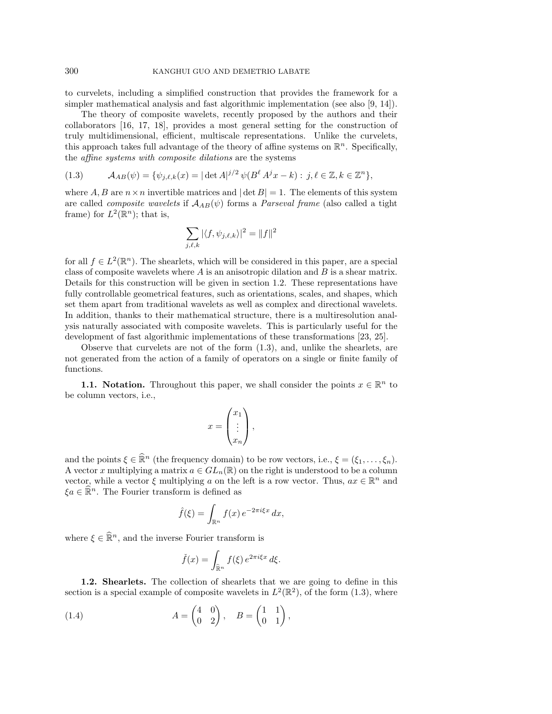to curvelets, including a simplified construction that provides the framework for a simpler mathematical analysis and fast algorithmic implementation (see also [9, 14]).

The theory of composite wavelets, recently proposed by the authors and their collaborators [16, 17, 18], provides a most general setting for the construction of truly multidimensional, efficient, multiscale representations. Unlike the curvelets, this approach takes full advantage of the theory of affine systems on  $\mathbb{R}^n$ . Specifically, the affine systems with composite dilations are the systems

(1.3) 
$$
\mathcal{A}_{AB}(\psi) = \{ \psi_{j,\ell,k}(x) = |\det A|^{j/2} \psi(B^{\ell} A^{j} x - k) : j, \ell \in \mathbb{Z}, k \in \mathbb{Z}^{n} \},
$$

where A, B are  $n \times n$  invertible matrices and  $|\det B| = 1$ . The elements of this system are called *composite wavelets* if  $A_{AB}(\psi)$  forms a *Parseval frame* (also called a tight frame) for  $L^2(\mathbb{R}^n)$ ; that is,

$$
\sum_{j,\ell,k} |\langle f, \psi_{j,\ell,k} \rangle|^2 = ||f||^2
$$

for all  $f \in L^2(\mathbb{R}^n)$ . The shearlets, which will be considered in this paper, are a special class of composite wavelets where  $A$  is an anisotropic dilation and  $B$  is a shear matrix. Details for this construction will be given in section 1.2. These representations have fully controllable geometrical features, such as orientations, scales, and shapes, which set them apart from traditional wavelets as well as complex and directional wavelets. In addition, thanks to their mathematical structure, there is a multiresolution analysis naturally associated with composite wavelets. This is particularly useful for the development of fast algorithmic implementations of these transformations [23, 25].

Observe that curvelets are not of the form (1.3), and, unlike the shearlets, are not generated from the action of a family of operators on a single or finite family of functions.

**1.1. Notation.** Throughout this paper, we shall consider the points  $x \in \mathbb{R}^n$  to be column vectors, i.e.,

$$
x = \begin{pmatrix} x_1 \\ \vdots \\ x_n \end{pmatrix},
$$

and the points  $\xi \in \widehat{\mathbb{R}}^n$  (the frequency domain) to be row vectors, i.e.,  $\xi = (\xi_1, \ldots, \xi_n)$ . A vector x multiplying a matrix  $a \in GL_n(\mathbb{R})$  on the right is understood to be a column vector, while a vector  $\xi$  multiplying a on the left is a row vector. Thus,  $ax \in \mathbb{R}^n$  and  $\xi a \in \mathbb{R}^n$ . The Fourier transform is defined as

$$
\hat{f}(\xi) = \int_{\mathbb{R}^n} f(x) e^{-2\pi i \xi x} dx,
$$

where  $\xi \in \widehat{\mathbb{R}}^n$ , and the inverse Fourier transform is

$$
\check{f}(x) = \int_{\hat{\mathbb{R}}^n} f(\xi) e^{2\pi i \xi x} d\xi.
$$

**1.2. Shearlets.** The collection of shearlets that we are going to define in this section is a special example of composite wavelets in  $L^2(\mathbb{R}^2)$ , of the form (1.3), where

(1.4) 
$$
A = \begin{pmatrix} 4 & 0 \\ 0 & 2 \end{pmatrix}, \quad B = \begin{pmatrix} 1 & 1 \\ 0 & 1 \end{pmatrix},
$$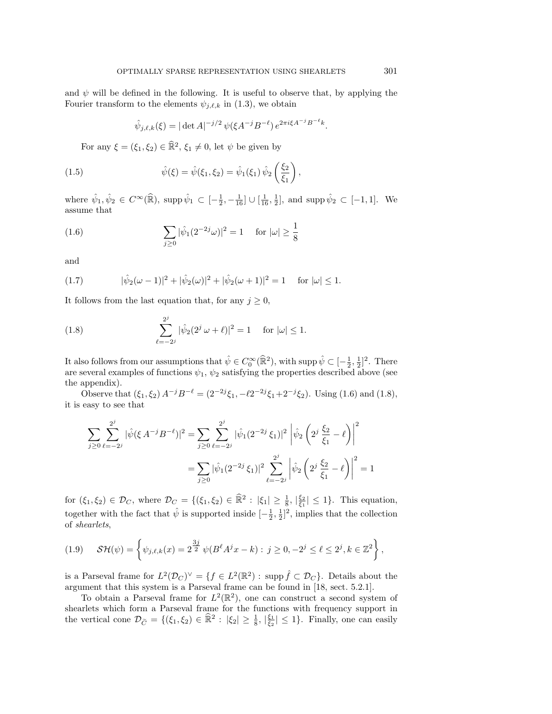and  $\psi$  will be defined in the following. It is useful to observe that, by applying the Fourier transform to the elements  $\psi_{j,\ell,k}$  in (1.3), we obtain

$$
\hat{\psi}_{j,\ell,k}(\xi) = |\det A|^{-j/2} \psi(\xi A^{-j} B^{-\ell}) e^{2\pi i \xi A^{-j} B^{-\ell} k}.
$$

For any  $\xi = (\xi_1, \xi_2) \in \mathbb{R}^2$ ,  $\xi_1 \neq 0$ , let  $\psi$  be given by

(1.5) 
$$
\hat{\psi}(\xi) = \hat{\psi}(\xi_1, \xi_2) = \hat{\psi}_1(\xi_1) \hat{\psi}_2 \left(\frac{\xi_2}{\xi_1}\right),
$$

where  $\hat{\psi}_1, \hat{\psi}_2 \in C^{\infty}(\hat{\mathbb{R}})$ , supp  $\hat{\psi}_1 \subset [-\frac{1}{2}, -\frac{1}{16}] \cup [\frac{1}{16}, \frac{1}{2}]$ , and supp  $\hat{\psi}_2 \subset [-1, 1]$ . We assume that

(1.6) 
$$
\sum_{j\geq 0} |\hat{\psi}_1(2^{-2j}\omega)|^2 = 1 \quad \text{for } |\omega| \geq \frac{1}{8}
$$

and

(1.7) 
$$
|\hat{\psi}_2(\omega - 1)|^2 + |\hat{\psi}_2(\omega)|^2 + |\hat{\psi}_2(\omega + 1)|^2 = 1 \text{ for } |\omega| \le 1.
$$

It follows from the last equation that, for any  $j \geq 0$ ,

(1.8) 
$$
\sum_{\ell=-2^j}^{2^j} |\hat{\psi}_2(2^j \omega + \ell)|^2 = 1 \quad \text{for } |\omega| \le 1.
$$

It also follows from our assumptions that  $\hat{\psi} \in C_0^{\infty}(\hat{\mathbb{R}}^2)$ , with supp  $\hat{\psi} \subset [-\frac{1}{2}, \frac{1}{2}]^2$ . There are several examples of functions  $\psi_1$ ,  $\psi_2$  satisfying the properties described above (see the appendix).

Observe that  $(\xi_1, \xi_2) A^{-j} B^{-\ell} = (2^{-2j}\xi_1, -\ell 2^{-2j}\xi_1 + 2^{-j}\xi_2)$ . Using (1.6) and (1.8), it is easy to see that

$$
\sum_{j\geq 0} \sum_{\ell=-2^j}^{2^j} |\hat{\psi}(\xi A^{-j}B^{-\ell})|^2 = \sum_{j\geq 0} \sum_{\ell=-2^j}^{2^j} |\hat{\psi}_1(2^{-2^j}\xi_1)|^2 |\hat{\psi}_2(2^j\frac{\xi_2}{\xi_1} - \ell)|^2
$$

$$
= \sum_{j\geq 0} |\hat{\psi}_1(2^{-2^j}\xi_1)|^2 \sum_{\ell=-2^j}^{2^j} |\hat{\psi}_2(2^j\frac{\xi_2}{\xi_1} - \ell)|^2 = 1
$$

for  $(\xi_1, \xi_2) \in \mathcal{D}_C$ , where  $\mathcal{D}_C = \{(\xi_1, \xi_2) \in \mathbb{R}^2 : |\xi_1| \ge \frac{1}{8}, |\xi_2| \le 1\}$ . This equation, together with the fact that  $\hat{\psi}$  is supported inside  $\left[-\frac{1}{2},\frac{1}{2}\right]^2$ , implies that the collection of shearlets,

$$
(1.9) \quad \mathcal{SH}(\psi) = \left\{ \psi_{j,\ell,k}(x) = 2^{\frac{3j}{2}} \psi(B^{\ell} A^j x - k) : j \ge 0, -2^j \le \ell \le 2^j, k \in \mathbb{Z}^2 \right\},\
$$

is a Parseval frame for  $L^2(\mathcal{D}_C)^{\vee} = \{f \in L^2(\mathbb{R}^2) : \text{supp } \hat{f} \subset \mathcal{D}_C\}$ . Details about the argument that this system is a Parseval frame can be found in [18, sect. 5.2.1].

To obtain a Parseval frame for  $L^2(\mathbb{R}^2)$ , one can construct a second system of shearlets which form a Parseval frame for the functions with frequency support in the vertical cone  $\mathcal{D}_{\tilde{C}} = \{(\xi_1, \xi_2) \in \mathbb{R}^2 : |\xi_2| \ge \frac{1}{8}, |\frac{\xi_1}{\xi_2}| \le 1\}$ . Finally, one can easily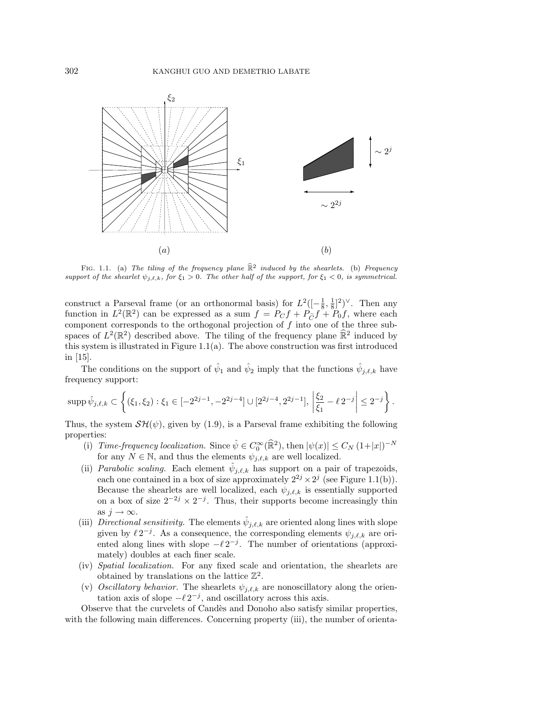

FIG. 1.1. (a) The tiling of the frequency plane  $\hat{\mathbb{R}}^2$  induced by the shearlets. (b) Frequency support of the shearlet  $\psi_{j,\ell,k}$ , for  $\xi_1 > 0$ . The other half of the support, for  $\xi_1 < 0$ , is symmetrical.

construct a Parseval frame (or an orthonormal basis) for  $L^2([-\frac{1}{8},\frac{1}{8}]^2)^\vee$ . Then any function in  $L^2(\mathbb{R}^2)$  can be expressed as a sum  $f = P_C f + P_{\tilde{C}} f + P_0 f$ , where each component corresponds to the orthogonal projection of f into one of the three subspaces of  $L^2(\mathbb{R}^2)$  described above. The tiling of the frequency plane  $\mathbb{R}^2$  induced by this system is illustrated in Figure 1.1(a). The above construction was first introduced in [15].

The conditions on the support of  $\hat{\psi}_1$  and  $\hat{\psi}_2$  imply that the functions  $\hat{\psi}_{j,\ell,k}$  have frequency support:

$$
\mathrm{supp}\,\hat\psi_{j,\ell,k}\subset \left\{(\xi_1,\xi_2):\xi_1\in [-2^{2j-1},-2^{2j-4}]\cup [2^{2j-4},2^{2j-1}],\,\left|\frac{\xi_2}{\xi_1}-\ell\, 2^{-j}\right|\leq 2^{-j}\right\}.
$$

Thus, the system  $\mathcal{SH}(\psi)$ , given by (1.9), is a Parseval frame exhibiting the following properties:

- (i) Time-frequency localization. Since  $\hat{\psi} \in C_0^{\infty}(\hat{\mathbb{R}}^2)$ , then  $|\psi(x)| \leq C_N (1+|x|)^{-N}$ for any  $N \in \mathbb{N}$ , and thus the elements  $\psi_{j,\ell,k}$  are well localized.
- (ii) *Parabolic scaling*. Each element  $\hat{\psi}_{j,\ell,k}$  has support on a pair of trapezoids, each one contained in a box of size approximately  $2^{2j} \times 2^j$  (see Figure 1.1(b)). Because the shearlets are well localized, each  $\psi_{j,\ell,k}$  is essentially supported on a box of size  $2^{-2j} \times 2^{-j}$ . Thus, their supports become increasingly thin as  $j \to \infty$ .
- (iii) Directional sensitivity. The elements  $\hat{\psi}_{j,\ell,k}$  are oriented along lines with slope given by  $\ell 2^{-j}$ . As a consequence, the corresponding elements  $\psi_{j,\ell,k}$  are oriented along lines with slope  $-\ell 2^{-j}$ . The number of orientations (approximately) doubles at each finer scale.
- (iv) Spatial localization. For any fixed scale and orientation, the shearlets are obtained by translations on the lattice  $\mathbb{Z}^2$ .
- (v) Oscillatory behavior. The shearlets  $\psi_{j,\ell,k}$  are nonoscillatory along the orientation axis of slope  $-\ell 2^{-j}$ , and oscillatory across this axis.

Observe that the curvelets of Cand`es and Donoho also satisfy similar properties, with the following main differences. Concerning property (iii), the number of orienta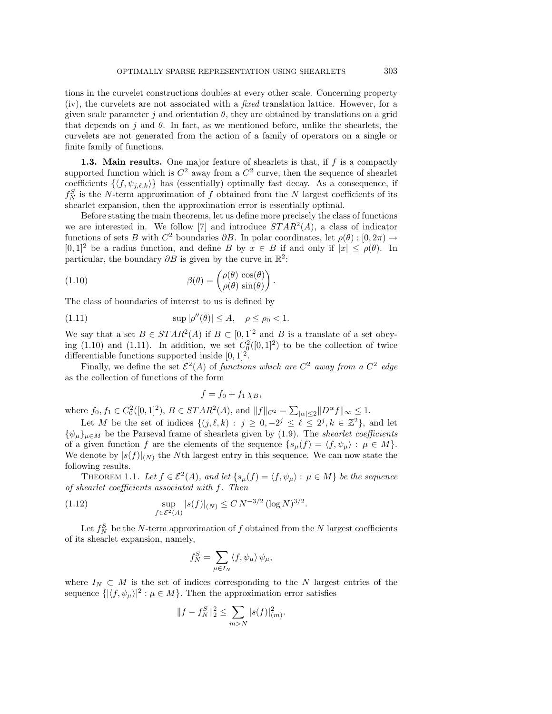tions in the curvelet constructions doubles at every other scale. Concerning property (iv), the curvelets are not associated with a fixed translation lattice. However, for a given scale parameter j and orientation  $\theta$ , they are obtained by translations on a grid that depends on j and  $\theta$ . In fact, as we mentioned before, unlike the shearlets, the curvelets are not generated from the action of a family of operators on a single or finite family of functions.

**1.3. Main results.** One major feature of shearlets is that, if f is a compactly supported function which is  $C^2$  away from a  $C^2$  curve, then the sequence of shearlet coefficients  $\{\langle f, \psi_{j,\ell,k}\rangle\}$  has (essentially) optimally fast decay. As a consequence, if  $f_N^S$  is the N-term approximation of f obtained from the N largest coefficients of its shearlet expansion, then the approximation error is essentially optimal.

Before stating the main theorems, let us define more precisely the class of functions we are interested in. We follow [7] and introduce  $STAR^2(A)$ , a class of indicator functions of sets B with  $C^2$  boundaries  $\partial B$ . In polar coordinates, let  $\rho(\theta): [0, 2\pi) \to$  $[0, 1]^2$  be a radius function, and define B by  $x \in B$  if and only if  $|x| \le \rho(\theta)$ . In particular, the boundary  $\partial B$  is given by the curve in  $\mathbb{R}^2$ :

(1.10) 
$$
\beta(\theta) = \begin{pmatrix} \rho(\theta) \cos(\theta) \\ \rho(\theta) \sin(\theta) \end{pmatrix}.
$$

The class of boundaries of interest to us is defined by

(1.11) 
$$
\sup |\rho''(\theta)| \le A, \quad \rho \le \rho_0 < 1.
$$

We say that a set  $B \in STAR^2(A)$  if  $B \subset [0,1]^2$  and B is a translate of a set obeying (1.10) and (1.11). In addition, we set  $C_0^2([0,1]^2)$  to be the collection of twice differentiable functions supported inside  $[0, 1]^2$ .

Finally, we define the set  $\mathcal{E}^2(A)$  of functions which are  $C^2$  away from a  $C^2$  edge as the collection of functions of the form

$$
f=f_0+f_1\chi_B,
$$

where  $f_0, f_1 \in C_0^2([0,1]^2), B \in STAR^2(A)$ , and  $||f||_{C^2} = \sum_{|\alpha| \le 2} ||D^{\alpha} f||_{\infty} \le 1$ .

Let M be the set of indices  $\{(j, \ell, k) : j \geq 0, -2^j \leq \ell \leq 2^j, k \in \mathbb{Z}^2\}$ , and let  $\{\psi_{\mu}\}_{\mu \in M}$  be the Parseval frame of shearlets given by (1.9). The *shearlet coefficients* of a given function f are the elements of the sequence  $\{s_\mu(f) = \langle f, \psi_\mu \rangle : \mu \in M\}.$ We denote by  $|s(f)|_{(N)}$  the Nth largest entry in this sequence. We can now state the following results.

THEOREM 1.1. Let  $f \in \mathcal{E}^2(A)$ , and let  $\{s_\mu(f) = \langle f, \psi_\mu \rangle : \mu \in M\}$  be the sequence of shearlet coefficients associated with f. Then

(1.12) 
$$
\sup_{f \in \mathcal{E}^2(A)} |s(f)|_{(N)} \le C N^{-3/2} (\log N)^{3/2}.
$$

Let  $f_N^S$  be the N-term approximation of f obtained from the N largest coefficients of its shearlet expansion, namely,

$$
f_N^S = \sum_{\mu \in I_N} \langle f, \psi_\mu \rangle \, \psi_\mu,
$$

where  $I_N \subset M$  is the set of indices corresponding to the N largest entries of the sequence  $\{|\langle f, \psi_\mu\rangle|^2 : \mu \in M\}$ . Then the approximation error satisfies

$$
||f - f_N^S||_2^2 \le \sum_{m > N} |s(f)|_{(m)}^2.
$$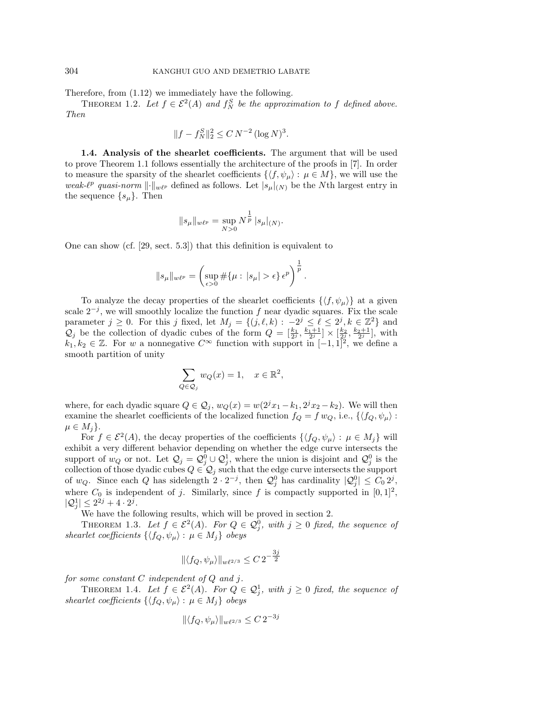Therefore, from (1.12) we immediately have the following.

THEOREM 1.2. Let  $f \in \mathcal{E}^2(A)$  and  $f_N^S$  be the approximation to f defined above. Then

$$
||f - f_N^S||_2^2 \le C N^{-2} (\log N)^3.
$$

**1.4. Analysis of the shearlet coefficients.** The argument that will be used to prove Theorem 1.1 follows essentially the architecture of the proofs in [7]. In order to measure the sparsity of the shearlet coefficients  $\{\langle f, \psi_\mu \rangle : \mu \in M\}$ , we will use the weak- $\ell^p$  quasi-norm  $\lVert \cdot \rVert_{w\ell^p}$  defined as follows. Let  $|s_\mu|_{(N)}$  be the Nth largest entry in the sequence  $\{s_\mu\}$ . Then

$$
\|s_{\mu}\|_{w\ell^p} = \sup_{N>0} N^{\frac{1}{p}} |s_{\mu}|_{(N)}.
$$

One can show (cf. [29, sect. 5.3]) that this definition is equivalent to

$$
||s_{\mu}||_{w\ell^{p}} = \left(\sup_{\epsilon>0} \# \{\mu : |s_{\mu}| > \epsilon\} \epsilon^{p}\right)^{\frac{1}{p}}.
$$

To analyze the decay properties of the shearlet coefficients  $\{\langle f, \psi_\mu \rangle\}$  at a given scale  $2^{-j}$ , we will smoothly localize the function f near dyadic squares. Fix the scale parameter  $j \ge 0$ . For this j fixed, let  $M_j = \{(j, \ell, k) : -2^j \le \ell \le 2^j, k \in \mathbb{Z}^2\}$  and  $\mathcal{Q}_j$  be the collection of dyadic cubes of the form  $Q = \left[\frac{k_1}{2^j}, \frac{k_1+1}{2^j}\right] \times \left[\frac{k_2}{2^j}, \frac{k_2+1}{2^j}\right]$ , with  $k_1, k_2 \in \mathbb{Z}$ . For w a nonnegative  $C^{\infty}$  function with support in  $[-1, 1]^2$ , we define a smooth partition of unity

$$
\sum_{Q \in \mathcal{Q}_j} w_Q(x) = 1, \quad x \in \mathbb{R}^2,
$$

where, for each dyadic square  $Q \in \mathcal{Q}_j$ ,  $w_Q(x) = w(2^j x_1 - k_1, 2^j x_2 - k_2)$ . We will then examine the shearlet coefficients of the localized function  $f_Q = f w_Q$ , i.e.,  $\{\langle f_Q, \psi_\mu \rangle :$  $\mu \in M_i$ .

For  $f \in \mathcal{E}^2(A)$ , the decay properties of the coefficients  $\{\langle f_Q, \psi_\mu \rangle : \mu \in M_j\}$  will exhibit a very different behavior depending on whether the edge curve intersects the support of  $w_Q$  or not. Let  $\mathcal{Q}_j = \mathcal{Q}_j^0 \cup \mathcal{Q}_j^1$ , where the union is disjoint and  $\mathcal{Q}_j^0$  is the collection of those dyadic cubes  $Q \in \mathcal{Q}_j$  such that the edge curve intersects the support of  $w_Q$ . Since each Q has sidelength  $2 \cdot 2^{-j}$ , then  $\mathcal{Q}_j^0$  has cardinality  $|\mathcal{Q}_j^0| \leq C_0 2^j$ , where  $C_0$  is independent of j. Similarly, since f is compactly supported in  $[0, 1]^2$ ,  $|Q_j^1| \leq 2^{2j} + 4 \cdot 2^j$ .

We have the following results, which will be proved in section 2.

THEOREM 1.3. Let  $f \in \mathcal{E}^2(A)$ . For  $Q \in \mathcal{Q}_j^0$ , with  $j \geq 0$  fixed, the sequence of shearlet coefficients  $\{\langle f_Q, \psi_\mu \rangle : \mu \in M_j\}$  obeys

$$
\|\langle f_Q,\psi_\mu\rangle\|_{w\ell^{2/3}}\leq C\,2^{-\frac{3j}{2}}
$$

for some constant  $C$  independent of  $Q$  and  $j$ .

THEOREM 1.4. Let  $f \in \mathcal{E}^2(A)$ . For  $Q \in \mathcal{Q}_j^1$ , with  $j \geq 0$  fixed, the sequence of shearlet coefficients  $\{ \langle f_Q, \psi_\mu \rangle : \mu \in M_j \}$  obeys

$$
\|\langle f_Q, \psi_\mu\rangle\|_{w\ell^{2/3}} \le C 2^{-3j}
$$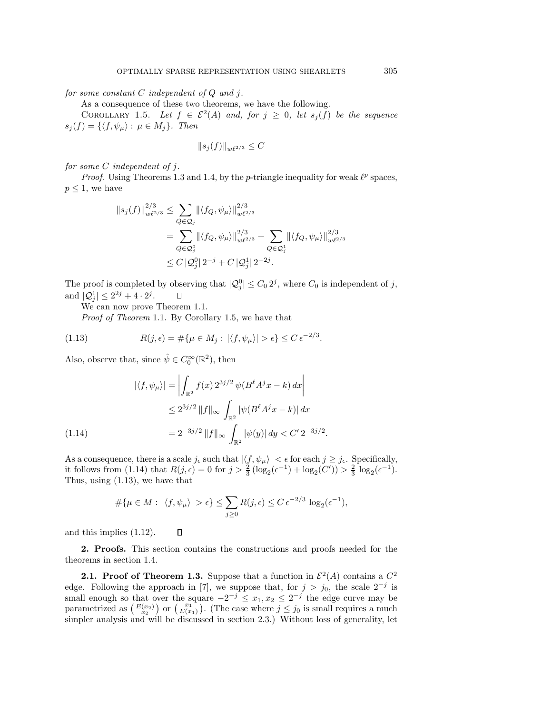for some constant  $C$  independent of  $Q$  and  $j$ .

As a consequence of these two theorems, we have the following.

COROLLARY 1.5. Let  $f \in \mathcal{E}^2(A)$  and, for  $j \geq 0$ , let  $s_i(f)$  be the sequence  $s_i(f) = \{ \langle f, \psi_\mu \rangle : \mu \in M_i \}.$  Then

$$
||s_j(f)||_{w\ell^{2/3}} \leq C
$$

for some C independent of j.

*Proof.* Using Theorems 1.3 and 1.4, by the *p*-triangle inequality for weak  $l^p$  spaces,  $p \leq 1$ , we have

$$
\|s_j(f)\|_{w\ell^{2/3}}^{2/3} \leq \sum_{Q \in \mathcal{Q}_j} \| \langle f_Q, \psi_\mu \rangle \|_{w\ell^{2/3}}^{2/3}
$$
  
= 
$$
\sum_{Q \in \mathcal{Q}_j^0} \| \langle f_Q, \psi_\mu \rangle \|_{w\ell^{2/3}}^{2/3} + \sum_{Q \in \mathcal{Q}_j^1} \| \langle f_Q, \psi_\mu \rangle \|_{w\ell^{2/3}}^{2/3}
$$
  

$$
\leq C \left| \mathcal{Q}_j^0 \right| 2^{-j} + C \left| \mathcal{Q}_j^1 \right| 2^{-2j}.
$$

The proof is completed by observing that  $|Q_j^0| \leq C_0 2^j$ , where  $C_0$  is independent of j, and  $|Q_j^1| \le 2^{2j} + 4 \cdot 2^j$ .  $\Box$ 

We can now prove Theorem 1.1.

Proof of Theorem 1.1. By Corollary 1.5, we have that

(1.13) 
$$
R(j,\epsilon) = \#\{\mu \in M_j : |\langle f, \psi_\mu \rangle| > \epsilon\} \le C \epsilon^{-2/3}.
$$

Also, observe that, since  $\hat{\psi} \in C_0^{\infty}(\mathbb{R}^2)$ , then

$$
|\langle f, \psi_{\mu} \rangle| = \left| \int_{\mathbb{R}^2} f(x) \, 2^{3j/2} \, \psi(B^{\ell} A^j x - k) \, dx \right|
$$
  

$$
\leq 2^{3j/2} \, \|f\|_{\infty} \int_{\mathbb{R}^2} |\psi(B^{\ell} A^j x - k)| \, dx
$$
  

$$
= 2^{-3j/2} \, \|f\|_{\infty} \int_{\mathbb{R}^2} |\psi(y)| \, dy < C' \, 2^{-3j/2}.
$$

 $\Box$ 

As a consequence, there is a scale  $j_{\epsilon}$  such that  $|\langle f, \psi_{\mu} \rangle| < \epsilon$  for each  $j \geq j_{\epsilon}$ . Specifically, it follows from (1.14) that  $R(j, \epsilon) = 0$  for  $j > \frac{2}{3} (\log_2(\epsilon^{-1}) + \log_2(C')) > \frac{2}{3} \log_2(\epsilon^{-1})$ . Thus, using (1.13), we have that

$$
\#\{\mu \in M : |\langle f, \psi_{\mu} \rangle| > \epsilon\} \le \sum_{j \ge 0} R(j, \epsilon) \le C \epsilon^{-2/3} \log_2(\epsilon^{-1}),
$$

and this implies (1.12).

**2. Proofs.** This section contains the constructions and proofs needed for the theorems in section 1.4.

**2.1. Proof of Theorem 1.3.** Suppose that a function in  $\mathcal{E}^2(A)$  contains a  $C^2$ edge. Following the approach in [7], we suppose that, for  $j>j_0$ , the scale 2<sup>-j</sup> is small enough so that over the square  $-2^{-j} \leq x_1, x_2 \leq 2^{-j}$  the edge curve may be parametrized as  $\begin{pmatrix} E(x_2) \\ x_2 \end{pmatrix}$  or  $\begin{pmatrix} x_1 \\ E(x_1) \end{pmatrix}$ . (The case where  $j \leq j_0$  is small requires a much simpler analysis and will be discussed in section 2.3.) Without loss of generality, let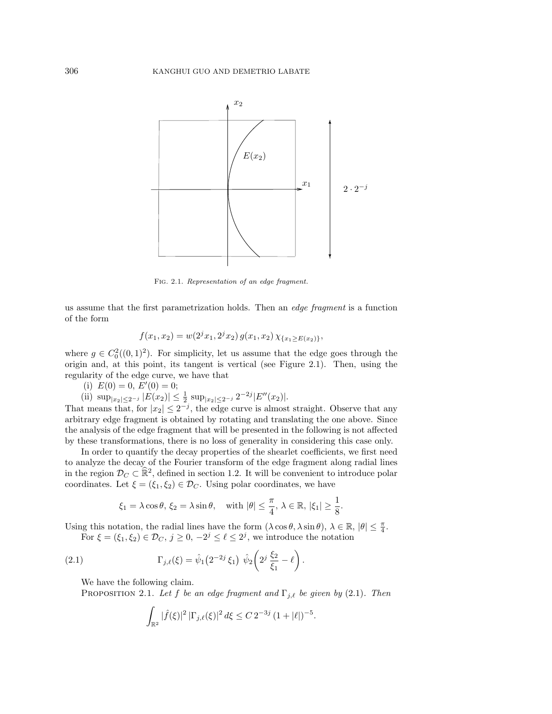

Fig. 2.1. Representation of an edge fragment.

us assume that the first parametrization holds. Then an edge fragment is a function of the form

$$
f(x_1, x_2) = w(2^{j}x_1, 2^{j}x_2) g(x_1, x_2) \chi_{\{x_1 \ge E(x_2)\}},
$$

where  $g \in C_0^2((0,1)^2)$ . For simplicity, let us assume that the edge goes through the origin and, at this point, its tangent is vertical (see Figure 2.1). Then, using the regularity of the edge curve, we have that

(i)  $E(0) = 0, E'(0) = 0;$ 

(ii) 
$$
\sup_{|x_2| \leq 2^{-j}} |E(x_2)| \leq \frac{1}{2} \sup_{|x_2| \leq 2^{-j}} 2^{-2j} |E''(x_2)|
$$
.

That means that, for  $|x_2| \leq 2^{-j}$ , the edge curve is almost straight. Observe that any arbitrary edge fragment is obtained by rotating and translating the one above. Since the analysis of the edge fragment that will be presented in the following is not affected by these transformations, there is no loss of generality in considering this case only.

In order to quantify the decay properties of the shearlet coefficients, we first need to analyze the decay of the Fourier transform of the edge fragment along radial lines in the region  $\mathcal{D}_C \subset \mathbb{R}^2$ , defined in section 1.2. It will be convenient to introduce polar coordinates. Let  $\xi = (\xi_1, \xi_2) \in \mathcal{D}_C$ . Using polar coordinates, we have

$$
\xi_1 = \lambda \cos \theta, \, \xi_2 = \lambda \sin \theta, \quad \text{with } |\theta| \le \frac{\pi}{4}, \, \lambda \in \mathbb{R}, \, |\xi_1| \ge \frac{1}{8}
$$

.

.

Using this notation, the radial lines have the form  $(\lambda \cos \theta, \lambda \sin \theta)$ ,  $\lambda \in \mathbb{R}$ ,  $|\theta| \leq \frac{\pi}{4}$ .

For 
$$
\xi = (\xi_1, \xi_2) \in \mathcal{D}_C
$$
,  $j \ge 0$ ,  $-2^j \le \ell \le 2^j$ , we introduce the notation

(2.1) 
$$
\Gamma_{j,\ell}(\xi) = \hat{\psi}_1(2^{-2j}\xi_1) \hat{\psi}_2\left(2^j\frac{\xi_2}{\xi_1} - \ell\right)
$$

We have the following claim.

PROPOSITION 2.1. Let f be an edge fragment and  $\Gamma_{j,\ell}$  be given by (2.1). Then

$$
\int_{\mathbb{R}^2} |\widehat{f}(\xi)|^2 |\Gamma_{j,\ell}(\xi)|^2 d\xi \leq C 2^{-3j} (1+|\ell|)^{-5}.
$$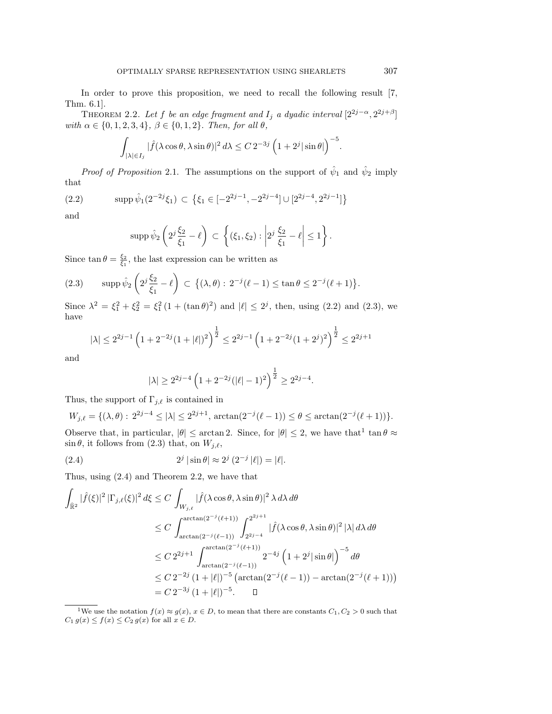In order to prove this proposition, we need to recall the following result [7, Thm. 6.1].

THEOREM 2.2. Let f be an edge fragment and  $I_j$  a dyadic interval  $[2^{2j-\alpha}, 2^{2j+\beta}]$ with  $\alpha \in \{0, 1, 2, 3, 4\}, \ \beta \in \{0, 1, 2\}.$  Then, for all  $\theta$ ,

$$
\int_{|\lambda| \in I_j} |\widehat{f}(\lambda \cos \theta, \lambda \sin \theta)|^2 d\lambda \leq C 2^{-3j} \left(1 + 2^j |\sin \theta|\right)^{-5}.
$$

*Proof of Proposition* 2.1. The assumptions on the support of  $\hat{\psi}_1$  and  $\hat{\psi}_2$  imply that

(2.2) 
$$
\mathrm{supp}\,\hat{\psi}_1(2^{-2j}\xi_1)\,\subset\,\big\{\xi_1\in[-2^{2j-1},-2^{2j-4}]\cup[2^{2j-4},2^{2j-1}]\big\}
$$

and

$$
\operatorname{supp}\hat{\psi}_2\left(2^j\frac{\xi_2}{\xi_1}-\ell\right)\subset\left\{(\xi_1,\xi_2): \left|2^j\frac{\xi_2}{\xi_1}-\ell\right|\leq 1\right\}.
$$

Since  $\tan \theta = \frac{\xi_2}{\xi_1}$ , the last expression can be written as

(2.3) supp 
$$
\hat{\psi}_2 \left( 2^j \frac{\xi_2}{\xi_1} - \ell \right) \subset \{ (\lambda, \theta) : 2^{-j} (\ell - 1) \le \tan \theta \le 2^{-j} (\ell + 1) \}.
$$

Since  $\lambda^2 = \xi_1^2 + \xi_2^2 = \xi_1^2 (1 + (\tan \theta)^2)$  and  $|\ell| \le 2^j$ , then, using (2.2) and (2.3), we have

$$
|\lambda| \le 2^{2j-1} \left( 1 + 2^{-2j} (1+|\ell|)^2 \right)^{\frac{1}{2}} \le 2^{2j-1} \left( 1 + 2^{-2j} (1+2^j)^2 \right)^{\frac{1}{2}} \le 2^{2j+1}
$$

and

$$
|\lambda| \ge 2^{2j-4} \left(1 + 2^{-2j}(|\ell| - 1)^2\right)^{\frac{1}{2}} \ge 2^{2j-4}.
$$

Thus, the support of  $\Gamma_{j,\ell}$  is contained in

$$
W_{j,\ell} = \{ (\lambda, \theta) : 2^{2j-4} \le |\lambda| \le 2^{2j+1}, \arctan(2^{-j}(\ell-1)) \le \theta \le \arctan(2^{-j}(\ell+1)) \}.
$$

Observe that, in particular,  $|\theta| \leq \arctan 2$ . Since, for  $|\theta| \leq 2$ , we have that  $\tan \theta \approx$  $\sin \theta$ , it follows from (2.3) that, on  $W_{j,\ell}$ ,

(2.4) 
$$
2^{j} |\sin \theta| \approx 2^{j} (2^{-j} |\ell|) = |\ell|.
$$

Thus, using (2.4) and Theorem 2.2, we have that

$$
\int_{\hat{\mathbb{R}}^2} |\hat{f}(\xi)|^2 |\Gamma_{j,\ell}(\xi)|^2 d\xi \le C \int_{W_{j,\ell}} |\hat{f}(\lambda \cos \theta, \lambda \sin \theta)|^2 \lambda d\lambda d\theta
$$
\n
$$
\le C \int_{\arctan(2^{-j}(\ell-1))}^{\arctan(2^{-j}(\ell+1))} \int_{2^{2j-4}}^{2^{2j+1}} |\hat{f}(\lambda \cos \theta, \lambda \sin \theta)|^2 |\lambda| d\lambda d\theta
$$
\n
$$
\le C 2^{2j+1} \int_{\arctan(2^{-j}(\ell+1))}^{\arctan(2^{-j}(\ell+1))} 2^{-4j} \left(1 + 2^j |\sin \theta|\right)^{-5} d\theta
$$
\n
$$
\le C 2^{-2j} (1 + |\ell|)^{-5} \left(\arctan(2^{-j}(\ell-1)) - \arctan(2^{-j}(\ell+1))\right)
$$
\n
$$
= C 2^{-3j} (1 + |\ell|)^{-5}. \quad \Box
$$

<sup>1</sup>We use the notation  $f(x) \approx g(x)$ ,  $x \in D$ , to mean that there are constants  $C_1, C_2 > 0$  such that  $C_1 g(x) \leq f(x) \leq C_2 g(x)$  for all  $x \in D$ .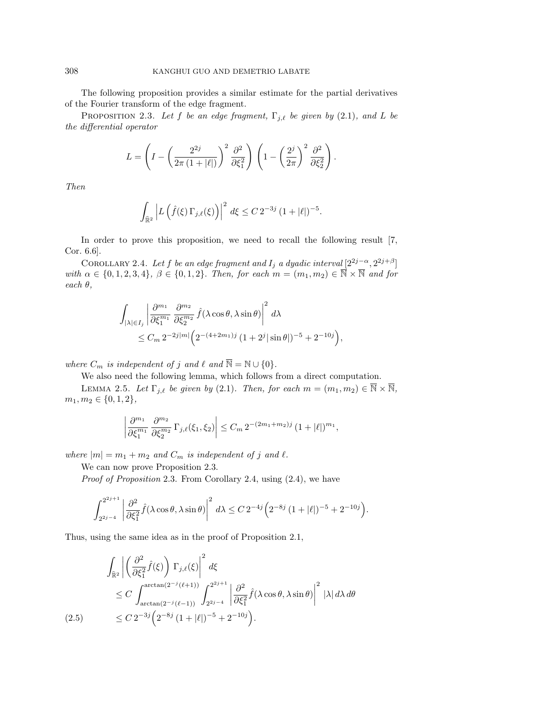The following proposition provides a similar estimate for the partial derivatives of the Fourier transform of the edge fragment.

PROPOSITION 2.3. Let f be an edge fragment,  $\Gamma_{j,\ell}$  be given by (2.1), and L be the differential operator

$$
L = \left(I - \left(\frac{2^{2j}}{2\pi (1+|\ell|)}\right)^2 \frac{\partial^2}{\partial \xi_1^2}\right) \left(1 - \left(\frac{2^j}{2\pi}\right)^2 \frac{\partial^2}{\partial \xi_2^2}\right).
$$

Then

$$
\int_{\widehat{\mathbb{R}}^2} \left| L \left( \hat{f}(\xi) \, \Gamma_{j,\ell}(\xi) \right) \right|^2 \, d\xi \leq C \, 2^{-3j} \, (1 + |\ell|)^{-5}.
$$

In order to prove this proposition, we need to recall the following result [7, Cor. 6.6].

COROLLARY 2.4. Let f be an edge fragment and  $I_j$  a dyadic interval  $[2^{2j-\alpha}, 2^{2j+\beta}]$ with  $\alpha \in \{0, 1, 2, 3, 4\}, \ \beta \in \{0, 1, 2\}.$  Then, for each  $m = (m_1, m_2) \in \overline{\mathbb{N}} \times \overline{\mathbb{N}}$  and for each θ,

$$
\int_{|\lambda| \in I_j} \left| \frac{\partial^{m_1}}{\partial \xi_1^{m_1}} \frac{\partial^{m_2}}{\partial \xi_2^{m_2}} \hat{f}(\lambda \cos \theta, \lambda \sin \theta) \right|^2 d\lambda
$$
  

$$
\leq C_m 2^{-2j|m|} \Big( 2^{-(4+2m_1)j} \left( 1 + 2^j |\sin \theta| \right)^{-5} + 2^{-10j} \Big),
$$

where  $C_m$  is independent of j and  $\ell$  and  $\overline{\mathbb{N}} = \mathbb{N} \cup \{0\}.$ 

We also need the following lemma, which follows from a direct computation.

LEMMA 2.5. Let  $\Gamma_{j,\ell}$  be given by (2.1). Then, for each  $m = (m_1, m_2) \in \overline{\mathbb{N}} \times \overline{\mathbb{N}},$  $m_1, m_2 \in \{0, 1, 2\},\$ 

$$
\left|\frac{\partial^{m_1}}{\partial \xi_1^{m_1}} \frac{\partial^{m_2}}{\partial \xi_2^{m_2}} \Gamma_{j,\ell}(\xi_1, \xi_2)\right| \leq C_m \, 2^{-(2m_1+m_2)j} \, (1+|\ell|)^{m_1},
$$

where  $|m| = m_1 + m_2$  and  $C_m$  is independent of j and  $\ell$ .

We can now prove Proposition 2.3.

Proof of Proposition 2.3. From Corollary 2.4, using (2.4), we have

$$
\int_{2^{2j-4}}^{2^{2j+1}} \left| \frac{\partial^2}{\partial \xi_1^2} \hat{f}(\lambda \cos \theta, \lambda \sin \theta) \right|^2 d\lambda \leq C 2^{-4j} \Big( 2^{-8j} \left( 1 + |\ell| \right)^{-5} + 2^{-10j} \Big).
$$

Thus, using the same idea as in the proof of Proposition 2.1,

$$
\int_{\widehat{\mathbb{R}}^2} \left| \left( \frac{\partial^2}{\partial \xi_1^2} \hat{f}(\xi) \right) \Gamma_{j,\ell}(\xi) \right|^2 d\xi
$$
\n
$$
\leq C \int_{\arctan(2^{-j}(\ell+1))}^{\arctan(2^{-j}(\ell+1))} \int_{2^{2j-4}}^{2^{2j+1}} \left| \frac{\partial^2}{\partial \xi_1^2} \hat{f}(\lambda \cos \theta, \lambda \sin \theta) \right|^2 |\lambda| d\lambda d\theta
$$
\n(2.5)\n
$$
\leq C 2^{-3j} \left( 2^{-8j} \left( 1 + |\ell| \right)^{-5} + 2^{-10j} \right).
$$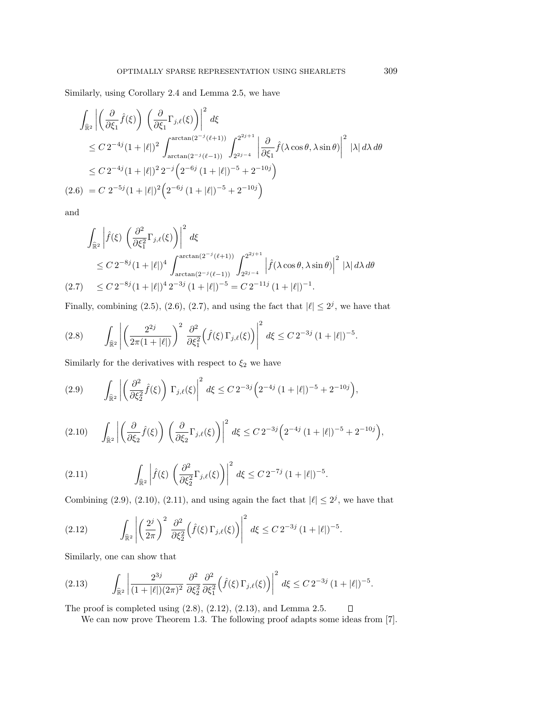Similarly, using Corollary 2.4 and Lemma 2.5, we have

$$
\int_{\widehat{\mathbb{R}}^2} \left| \left( \frac{\partial}{\partial \xi_1} \hat{f}(\xi) \right) \left( \frac{\partial}{\partial \xi_1} \Gamma_{j,\ell}(\xi) \right) \right|^2 d\xi
$$
\n
$$
\leq C 2^{-4j} (1+|\ell|)^2 \int_{\arctan(2^{-j}(\ell-1))}^{2^{\arctan(2^{-j}(\ell+1))}} \int_{2^{2j-4}}^{2^{2j+1}} \left| \frac{\partial}{\partial \xi_1} \hat{f}(\lambda \cos \theta, \lambda \sin \theta) \right|^2 |\lambda| d\lambda d\theta
$$
\n
$$
\leq C 2^{-4j} (1+|\ell|)^2 2^{-j} \left( 2^{-6j} (1+|\ell|)^{-5} + 2^{-10j} \right)
$$
\n
$$
(2.6) = C 2^{-5j} (1+|\ell|)^2 \left( 2^{-6j} (1+|\ell|)^{-5} + 2^{-10j} \right)
$$

and

$$
\int_{\hat{\mathbb{R}}^2} \left| \hat{f}(\xi) \left( \frac{\partial^2}{\partial \xi_1^2} \Gamma_{j,\ell}(\xi) \right) \right|^2 d\xi
$$
\n
$$
\leq C 2^{-8j} (1+|\ell|)^4 \int_{\arctan(2^{-j}(\ell+1))}^{\arctan(2^{-j}(\ell+1))} \int_{2^{2j-4}}^{2^{2j+1}} \left| \hat{f}(\lambda \cos \theta, \lambda \sin \theta) \right|^2 |\lambda| d\lambda d\theta
$$
\n(2.7) 
$$
\leq C 2^{-8j} (1+|\ell|)^4 2^{-3j} (1+|\ell|)^{-5} = C 2^{-11j} (1+|\ell|)^{-1}.
$$

Finally, combining (2.5), (2.6), (2.7), and using the fact that  $|\ell| \leq 2^{j}$ , we have that

$$
(2.8) \qquad \int_{\widehat{\mathbb{R}}^2} \left| \left( \frac{2^{2j}}{2\pi(1+|\ell|)} \right)^2 \frac{\partial^2}{\partial \xi_1^2} \left( \hat{f}(\xi) \, \Gamma_{j,\ell}(\xi) \right) \right|^2 \, d\xi \leq C \, 2^{-3j} \, (1+|\ell|)^{-5}.
$$

Similarly for the derivatives with respect to  $\xi_2$  we have

$$
(2.9) \qquad \int_{\widehat{\mathbb{R}}^2} \left| \left( \frac{\partial^2}{\partial \xi_2^2} \hat{f}(\xi) \right) \Gamma_{j,\ell}(\xi) \right|^2 d\xi \leq C 2^{-3j} \left( 2^{-4j} \left( 1 + |\ell| \right)^{-5} + 2^{-10j} \right),
$$

$$
(2.10) \qquad \int_{\widehat{\mathbb{R}}^2} \left| \left( \frac{\partial}{\partial \xi_2} \hat{f}(\xi) \right) \left( \frac{\partial}{\partial \xi_2} \Gamma_{j,\ell}(\xi) \right) \right|^2 d\xi \leq C 2^{-3j} \left( 2^{-4j} \left( 1 + |\ell| \right)^{-5} + 2^{-10j} \right),
$$

(2.11) 
$$
\int_{\hat{\mathbb{R}}^2} \left| \hat{f}(\xi) \left( \frac{\partial^2}{\partial \xi_2^2} \Gamma_{j,\ell}(\xi) \right) \right|^2 d\xi \leq C 2^{-7j} (1 + |\ell|)^{-5}.
$$

Combining (2.9), (2.10), (2.11), and using again the fact that  $|\ell| \leq 2^{j}$ , we have that

(2.12) 
$$
\int_{\widehat{\mathbb{R}}^2} \left| \left( \frac{2^j}{2\pi} \right)^2 \frac{\partial^2}{\partial \xi_2^2} \left( \hat{f}(\xi) \, \Gamma_{j,\ell}(\xi) \right) \right|^2 d\xi \leq C \, 2^{-3j} \, (1 + |\ell|)^{-5}.
$$

Similarly, one can show that

$$
(2.13) \qquad \int_{\widehat{\mathbb{R}}^2} \left| \frac{2^{3j}}{(1+|\ell|)(2\pi)^2} \frac{\partial^2}{\partial \xi_2^2} \frac{\partial^2}{\partial \xi_1^2} \left( \hat{f}(\xi) \Gamma_{j,\ell}(\xi) \right) \right|^2 d\xi \leq C 2^{-3j} (1+|\ell|)^{-5}.
$$

The proof is completed using (2.8), (2.12), (2.13), and Lemma 2.5.

We can now prove Theorem 1.3. The following proof adapts some ideas from [7].

 $\Box$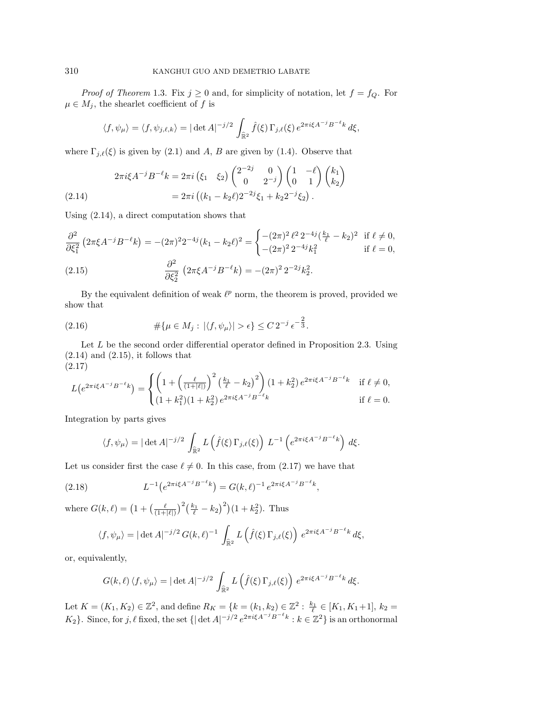*Proof of Theorem* 1.3. Fix  $j \ge 0$  and, for simplicity of notation, let  $f = f_Q$ . For  $\mu \in M_j$ , the shearlet coefficient of f is

$$
\langle f, \psi_{\mu} \rangle = \langle f, \psi_{j,\ell,k} \rangle = |\det A|^{-j/2} \int_{\widehat{\mathbb{R}}^2} \widehat{f}(\xi) \, \Gamma_{j,\ell}(\xi) \, e^{2\pi i \xi A^{-j} B^{-\ell} k} \, d\xi,
$$

where  $\Gamma_{j,\ell}(\xi)$  is given by (2.1) and A, B are given by (1.4). Observe that

$$
2\pi i \xi A^{-j} B^{-\ell} k = 2\pi i \left(\xi_1 \quad \xi_2\right) \begin{pmatrix} 2^{-2j} & 0 \\ 0 & 2^{-j} \end{pmatrix} \begin{pmatrix} 1 & -\ell \\ 0 & 1 \end{pmatrix} \begin{pmatrix} k_1 \\ k_2 \end{pmatrix}
$$
  
(2.14)  

$$
= 2\pi i \left( (k_1 - k_2 \ell) 2^{-2j} \xi_1 + k_2 2^{-j} \xi_2 \right).
$$

Using (2.14), a direct computation shows that

$$
\frac{\partial^2}{\partial \xi_1^2} \left(2\pi \xi A^{-j} B^{-\ell} k\right) = -(2\pi)^2 2^{-4j} (k_1 - k_2 \ell)^2 = \begin{cases} -(2\pi)^2 \ell^2 2^{-4j} \left(\frac{k_1}{\ell} - k_2\right)^2 & \text{if } \ell \neq 0, \\ -(2\pi)^2 2^{-4j} k_1^2 & \text{if } \ell = 0, \end{cases}
$$

(2.15) 
$$
\frac{\partial^2}{\partial \xi_2^2} \left(2\pi \xi A^{-j} B^{-\ell} k\right) = -(2\pi)^2 2^{-2j} k_2^2.
$$

By the equivalent definition of weak  $\ell^p$  norm, the theorem is proved, provided we show that

(2.16) 
$$
\# \{ \mu \in M_j : |\langle f, \psi_\mu \rangle| > \epsilon \} \leq C 2^{-j} \epsilon^{-\frac{2}{3}}.
$$

Let  $L$  be the second order differential operator defined in Proposition 2.3. Using  $(2.14)$  and  $(2.15)$ , it follows that

$$
(2.17)
$$

$$
L(e^{2\pi i\xi A^{-j}B^{-\ell}k}) = \begin{cases} \left(1 + \left(\frac{\ell}{(1+|\ell|)}\right)^2 \left(\frac{k_1}{\ell} - k_2\right)^2\right) (1+k_2^2) e^{2\pi i\xi A^{-j}B^{-\ell}k} & \text{if } \ell \neq 0, \\ (1+k_1^2)(1+k_2^2) e^{2\pi i\xi A^{-j}B^{-\ell}k} & \text{if } \ell = 0. \end{cases}
$$

Integration by parts gives

$$
\langle f, \psi_{\mu} \rangle = |\det A|^{-j/2} \int_{\widehat{\mathbb{R}}^2} L(\widehat{f}(\xi) \Gamma_{j,\ell}(\xi)) L^{-1} \left( e^{2\pi i \xi A^{-j} B^{-\ell} k} \right) d\xi.
$$

Let us consider first the case  $\ell \neq 0$ . In this case, from (2.17) we have that

(2.18) 
$$
L^{-1}(e^{2\pi i\xi A^{-j}B^{-\ell}k}) = G(k,\ell)^{-1} e^{2\pi i\xi A^{-j}B^{-\ell}k},
$$

where  $G(k,\ell) = \left(1 + \left(\frac{\ell}{(1+|\ell|)}\right)^2 \left(\frac{k_1}{\ell} - k_2\right)^2\right) (1+k_2^2)$ . Thus

$$
\langle f, \psi_{\mu} \rangle = |\det A|^{-j/2} G(k, \ell)^{-1} \int_{\widehat{\mathbb{R}}^2} L\left(\widehat{f}(\xi) \Gamma_{j, \ell}(\xi)\right) e^{2\pi i \xi A^{-j} B^{-\ell} k} d\xi,
$$

or, equivalently,

$$
G(k,\ell)\langle f,\psi_\mu\rangle=|\det A|^{-j/2}\,\int_{\widehat{\mathbb{R}}^2}L\left(\widehat{f}(\xi)\,\Gamma_{j,\ell}(\xi)\right)\,e^{2\pi i\xi A^{-j}B^{-\ell}k}\,d\xi.
$$

Let  $K = (K_1, K_2) \in \mathbb{Z}^2$ , and define  $R_K = \{k = (k_1, k_2) \in \mathbb{Z}^2 : \frac{k_1}{\ell} \in [K_1, K_1 + 1], k_2 =$  $K_2$ }. Since, for  $j, \ell$  fixed, the set  $\{|\det A|^{-j/2}e^{2\pi i \xi A^{-j}B^{-\ell}k}: k \in \mathbb{Z}^2\}$  is an orthonormal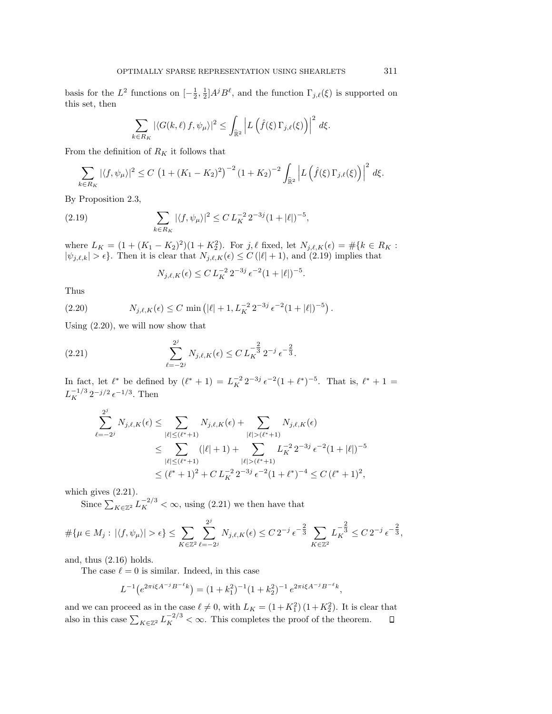basis for the  $L^2$  functions on  $[-\frac{1}{2}, \frac{1}{2}]A^jB^{\ell}$ , and the function  $\Gamma_{j,\ell}(\xi)$  is supported on this set, then

$$
\sum_{k \in R_K} |\langle G(k,\ell) f, \psi_\mu \rangle|^2 \leq \int_{\widehat{\mathbb{R}}^2} \left| L \left( \widehat{f}(\xi) \, \Gamma_{j,\ell}(\xi) \right) \right|^2 \, d\xi.
$$

From the definition of  $R_K$  it follows that

$$
\sum_{k \in R_K} |\langle f, \psi_\mu \rangle|^2 \le C \left( 1 + (K_1 - K_2)^2 \right)^{-2} \left( 1 + K_2 \right)^{-2} \int_{\hat{\mathbb{R}}^2} \left| L \left( \hat{f}(\xi) \, \Gamma_{j,\ell}(\xi) \right) \right|^2 \, d\xi.
$$

By Proposition 2.3,

(2.19) 
$$
\sum_{k \in R_K} |\langle f, \psi_\mu \rangle|^2 \leq C L_K^{-2} 2^{-3j} (1 + |\ell|)^{-5},
$$

where  $L_K = (1 + (K_1 - K_2)^2)(1 + K_2^2)$ . For  $j, \ell$  fixed, let  $N_{j,\ell,K}(\epsilon) = \#\{k \in R_K :$  $|\psi_{j,\ell,k}| > \epsilon$ . Then it is clear that  $N_{j,\ell,K}(\epsilon) \leq C(|\ell|+1)$ , and  $(2.19)$  implies that

$$
N_{j,\ell,K}(\epsilon) \le C L_K^{-2} 2^{-3j} \epsilon^{-2} (1+|\ell|)^{-5}.
$$

Thus

(2.20) 
$$
N_{j,\ell,K}(\epsilon) \leq C \min\left(|\ell|+1, L_K^{-2} 2^{-3j} \epsilon^{-2} (1+|\ell|)^{-5}\right).
$$

Using (2.20), we will now show that

(2.21) 
$$
\sum_{\ell=-2^j}^{2^j} N_{j,\ell,K}(\epsilon) \leq C L_K^{-\frac{2}{3}} 2^{-j} \epsilon^{-\frac{2}{3}}.
$$

In fact, let  $\ell^*$  be defined by  $(\ell^* + 1) = L_K^{-2} 2^{-3j} \epsilon^{-2} (1 + \ell^*)^{-5}$ . That is,  $\ell^* + 1 =$  $L_K^{-1/3} 2^{-j/2} \epsilon^{-1/3}$ . Then

$$
\sum_{\ell=-2^j}^{2^j} N_{j,\ell,K}(\epsilon) \le \sum_{|\ell| \le (\ell^*+1)} N_{j,\ell,K}(\epsilon) + \sum_{|\ell| > (\ell^*+1)} N_{j,\ell,K}(\epsilon)
$$
  

$$
\le \sum_{|\ell| \le (\ell^*+1)} (|\ell|+1) + \sum_{|\ell| > (\ell^*+1)} L_K^{-2} 2^{-3j} \epsilon^{-2} (1+|\ell|)^{-5}
$$
  

$$
\le (\ell^*+1)^2 + C L_K^{-2} 2^{-3j} \epsilon^{-2} (1+\ell^*)^{-4} \le C (\ell^*+1)^2,
$$

which gives (2.21).

Since  $\sum_{K \in \mathbb{Z}^2} L_K^{-2/3} < \infty$ , using (2.21) we then have that

$$
\#\{\mu \in M_j: |\langle f, \psi_\mu \rangle| > \epsilon\} \le \sum_{K \in \mathbb{Z}^2} \sum_{\ell=-2^j}^{2^j} N_{j,\ell,K}(\epsilon) \le C 2^{-j} \epsilon^{-\frac{2}{3}} \sum_{K \in \mathbb{Z}^2} L_K^{-\frac{2}{3}} \le C 2^{-j} \epsilon^{-\frac{2}{3}},
$$

and, thus (2.16) holds.

The case  $\ell = 0$  is similar. Indeed, in this case

$$
L^{-1}(e^{2\pi i\xi A^{-j}B^{-\ell}k}) = (1+k_1^2)^{-1}(1+k_2^2)^{-1}e^{2\pi i\xi A^{-j}B^{-\ell}k},
$$

and we can proceed as in the case  $\ell \neq 0$ , with  $L_K = (1 + K_1^2) (1 + K_2^2)$ . It is clear that also in this case  $\sum_{K \in \mathbb{Z}^2} L_K^{-2/3} < \infty$ . This completes the proof of the theorem.  $\Box$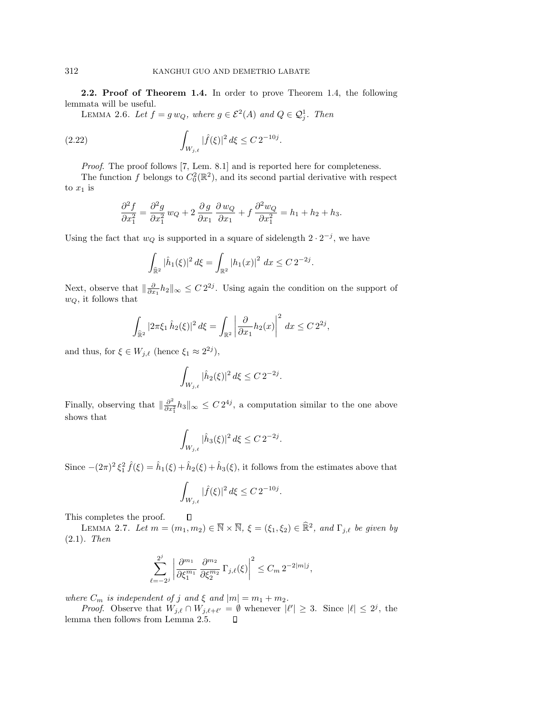**2.2. Proof of Theorem 1.4.** In order to prove Theorem 1.4, the following lemmata will be useful.

LEMMA 2.6. Let  $f = g w_Q$ , where  $g \in \mathcal{E}^2(A)$  and  $Q \in \mathcal{Q}_j^1$ . Then

(2.22) 
$$
\int_{W_{j,\ell}} |\hat{f}(\xi)|^2 d\xi \leq C 2^{-10j}.
$$

Proof. The proof follows [7, Lem. 8.1] and is reported here for completeness.

The function f belongs to  $C_0^2(\mathbb{R}^2)$ , and its second partial derivative with respect to  $x_1$  is

$$
\frac{\partial^2 f}{\partial x_1^2} = \frac{\partial^2 g}{\partial x_1^2} w_Q + 2 \frac{\partial g}{\partial x_1} \frac{\partial w_Q}{\partial x_1} + f \frac{\partial^2 w_Q}{\partial x_1^2} = h_1 + h_2 + h_3.
$$

Using the fact that  $w_Q$  is supported in a square of sidelength  $2 \cdot 2^{-j}$ , we have

$$
\int_{\widehat{\mathbb{R}}^2} |\widehat{h}_1(\xi)|^2 d\xi = \int_{\mathbb{R}^2} |h_1(x)|^2 dx \le C 2^{-2j}.
$$

Next, observe that  $\|\frac{\partial}{\partial x_1}h_2\|_{\infty} \leq C 2^{2j}$ . Using again the condition on the support of  $w_Q$ , it follows that

$$
\int_{\widehat{\mathbb{R}}^2} |2\pi \xi_1 \,\hat{h}_2(\xi)|^2 \,d\xi = \int_{\mathbb{R}^2} \left| \frac{\partial}{\partial x_1} h_2(x) \right|^2 \,dx \leq C \, 2^{2j},
$$

and thus, for  $\xi \in W_{j,\ell}$  (hence  $\xi_1 \approx 2^{2j}$ ),

$$
\int_{W_{j,\ell}} |\hat{h}_2(\xi)|^2 d\xi \le C 2^{-2j}.
$$

Finally, observing that  $\|\frac{\partial^2}{\partial x_1^2}h_3\|_{\infty} \leq C 2^{4j}$ , a computation similar to the one above shows that

$$
\int_{W_{j,\ell}} |\hat{h}_3(\xi)|^2 d\xi \le C 2^{-2j}.
$$

Since  $-(2\pi)^2 \xi_1^2 \hat{f}(\xi) = \hat{h}_1(\xi) + \hat{h}_2(\xi) + \hat{h}_3(\xi)$ , it follows from the estimates above that

$$
\int_{W_{j,\ell}} |\hat{f}(\xi)|^2 d\xi \leq C 2^{-10j}.
$$

This completes the proof.

LEMMA 2.7. Let  $m = (m_1, m_2) \in \overline{\mathbb{N}} \times \overline{\mathbb{N}}, \xi = (\xi_1, \xi_2) \in \widehat{\mathbb{R}}^2$ , and  $\Gamma_{j,\ell}$  be given by (2.1). Then

$$
\sum_{\ell=-2^j}^{2^j} \left| \frac{\partial^{m_1}}{\partial \xi_1^{m_1}} \, \frac{\partial^{m_2}}{\partial \xi_2^{m_2}} \, \Gamma_{j,\ell}(\xi) \right|^2 \leq C_m \, 2^{-2|m|j},
$$

where  $C_m$  is independent of j and  $\xi$  and  $|m| = m_1 + m_2$ .

 $\Box$ 

*Proof.* Observe that  $W_{j,\ell} \cap W_{j,\ell+\ell'} = \emptyset$  whenever  $|\ell'| \geq 3$ . Since  $|\ell| \leq 2^j$ , the lemma then follows from Lemma 2.5. $\Box$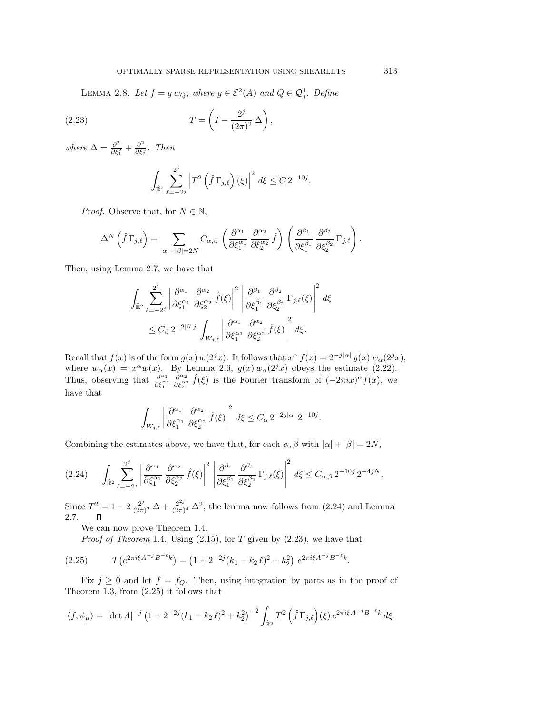LEMMA 2.8. Let  $f = g w_Q$ , where  $g \in \mathcal{E}^2(A)$  and  $Q \in \mathcal{Q}_j^1$ . Define

(2.23) 
$$
T = \left(I - \frac{2^j}{(2\pi)^2} \Delta\right),
$$

where  $\Delta = \frac{\partial^2}{\partial \xi_1^2} + \frac{\partial^2}{\partial \xi_2^2}$ . Then

$$
\int_{\widehat{\mathbb{R}}^2} \sum_{\ell=-2^j}^{2^j} \left| T^2 \left( \widehat{f} \, \Gamma_{j,\ell} \right) (\xi) \right|^2 d\xi \leq C \, 2^{-10j}.
$$

*Proof.* Observe that, for  $N \in \overline{\mathbb{N}}$ ,

$$
\Delta^N\left(\hat{f}\,\Gamma_{j,\ell}\right) = \sum_{|\alpha|+|\beta|=2N} C_{\alpha,\beta}\left(\frac{\partial^{\alpha_1}}{\partial \xi_1^{\alpha_1}}\,\frac{\partial^{\alpha_2}}{\partial \xi_2^{\alpha_2}}\,\hat{f}\right)\left(\frac{\partial^{\beta_1}}{\partial \xi_1^{\beta_1}}\,\frac{\partial^{\beta_2}}{\partial \xi_2^{\beta_2}}\,\Gamma_{j,\ell}\right).
$$

Then, using Lemma 2.7, we have that

$$
\int_{\widehat{\mathbb{R}}^2} \sum_{\ell=-2^j}^{2^j} \left| \frac{\partial^{\alpha_1}}{\partial \xi_1^{\alpha_1}} \frac{\partial^{\alpha_2}}{\partial \xi_2^{\alpha_2}} \hat{f}(\xi) \right|^2 \left| \frac{\partial^{\beta_1}}{\partial \xi_1^{\beta_1}} \frac{\partial^{\beta_2}}{\partial \xi_2^{\beta_2}} \Gamma_{j,\ell}(\xi) \right|^2 d\xi
$$
  

$$
\leq C_\beta 2^{-2|\beta|j} \int_{W_{j,\ell}} \left| \frac{\partial^{\alpha_1}}{\partial \xi_1^{\alpha_1}} \frac{\partial^{\alpha_2}}{\partial \xi_2^{\alpha_2}} \hat{f}(\xi) \right|^2 d\xi.
$$

Recall that  $f(x)$  is of the form  $g(x)$   $w(2^{j}x)$ . It follows that  $x^{\alpha} f(x)=2^{-j|\alpha|} g(x) w_{\alpha}(2^{j}x)$ , where  $w_{\alpha}(x) = x^{\alpha}w(x)$ . By Lemma 2.6,  $g(x)w_{\alpha}(2^{j}x)$  obeys the estimate (2.22). Thus, observing that  $\frac{\partial^{\alpha_1}}{\partial \xi_1^{\alpha_1}} \frac{\partial^{\alpha_2}}{\partial \xi_2^{\alpha_2}} \hat{f}(\xi)$  is the Fourier transform of  $(-2\pi i x)^{\alpha} f(x)$ , we have that

$$
\int_{W_{j,\ell}} \left| \frac{\partial^{\alpha_1}}{\partial \xi_1^{\alpha_1}} \frac{\partial^{\alpha_2}}{\partial \xi_2^{\alpha_2}} \hat{f}(\xi) \right|^2 d\xi \leq C_{\alpha} 2^{-2j|\alpha|} 2^{-10j}.
$$

Combining the estimates above, we have that, for each  $\alpha, \beta$  with  $|\alpha| + |\beta| = 2N$ ,

$$
(2.24) \qquad \int_{\widehat{\mathbb{R}}^2} \sum_{\ell=-2^j}^{2^j} \left| \frac{\partial^{\alpha_1}}{\partial \xi_1^{\alpha_1}} \frac{\partial^{\alpha_2}}{\partial \xi_2^{\alpha_2}} \hat{f}(\xi) \right|^2 \left| \frac{\partial^{\beta_1}}{\partial \xi_1^{\beta_1}} \frac{\partial^{\beta_2}}{\partial \xi_2^{\beta_2}} \Gamma_{j,\ell}(\xi) \right|^2 d\xi \leq C_{\alpha,\beta} 2^{-10j} 2^{-4jN}.
$$

Since  $T^2 = 1 - 2 \frac{2^j}{(2\pi)^2} \Delta + \frac{2^{2j}}{(2\pi)^4} \Delta^2$ , the lemma now follows from (2.24) and Lemma 2.7.  $\Box$ 

We can now prove Theorem 1.4.

*Proof of Theorem* 1.4. Using  $(2.15)$ , for T given by  $(2.23)$ , we have that

$$
(2.25) \tT\left(e^{2\pi i\xi A^{-j}B^{-\ell}k}\right) = \left(1 + 2^{-2j}(k_1 - k_2\ell)^2 + k_2^2\right)e^{2\pi i\xi A^{-j}B^{-\ell}k}.
$$

Fix  $j \geq 0$  and let  $f = f_Q$ . Then, using integration by parts as in the proof of Theorem 1.3, from (2.25) it follows that

$$
\langle f, \psi_{\mu} \rangle = |\det A|^{-j} \left( 1 + 2^{-2j} (k_1 - k_2 \ell)^2 + k_2^2 \right)^{-2} \int_{\widehat{\mathbb{R}}^2} T^2 \left( \widehat{f} \Gamma_{j,\ell} \right) (\xi) e^{2\pi i \xi A^{-j} B^{-\ell} k} d\xi.
$$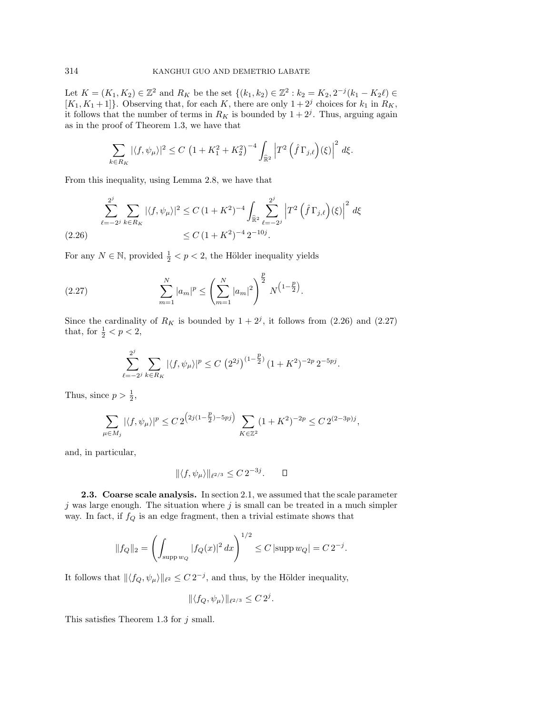Let  $K = (K_1, K_2) \in \mathbb{Z}^2$  and  $R_K$  be the set  $\{(k_1, k_2) \in \mathbb{Z}^2 : k_2 = K_2, 2^{-j}(k_1 - K_2\ell) \in$  $[K_1, K_1+1]$ . Observing that, for each K, there are only  $1+2<sup>j</sup>$  choices for  $k_1$  in  $R_K$ , it follows that the number of terms in  $R_K$  is bounded by  $1 + 2<sup>j</sup>$ . Thus, arguing again as in the proof of Theorem 1.3, we have that

$$
\sum_{k \in R_K} |\langle f, \psi_\mu \rangle|^2 \le C \left( 1 + K_1^2 + K_2^2 \right)^{-4} \int_{\widehat{\mathbb{R}}^2} \left| T^2 \left( \widehat{f} \, \Gamma_{j,\ell} \right) (\xi) \right|^2 d\xi.
$$

From this inequality, using Lemma 2.8, we have that

$$
\sum_{\ell=-2^j}^{2^j} \sum_{k \in R_K} |\langle f, \psi_\mu \rangle|^2 \le C \left(1 + K^2\right)^{-4} \int_{\hat{\mathbb{R}}^2} \sum_{\ell=-2^j}^{2^j} \left| T^2 \left( \hat{f} \Gamma_{j,\ell} \right) (\xi) \right|^2 d\xi
$$
\n
$$
\le C \left(1 + K^2\right)^{-4} 2^{-10j}.
$$

For any  $N \in \mathbb{N}$ , provided  $\frac{1}{2} < p < 2$ , the Hölder inequality yields

(2.27) 
$$
\sum_{m=1}^{N} |a_m|^p \le \left(\sum_{m=1}^{N} |a_m|^2\right)^{\frac{p}{2}} N^{\left(1-\frac{p}{2}\right)}.
$$

Since the cardinality of  $R_K$  is bounded by  $1 + 2<sup>j</sup>$ , it follows from (2.26) and (2.27) that, for  $\frac{1}{2} < p < 2$ ,

$$
\sum_{\ell=-2^j}^{2^j} \sum_{k \in R_K} |\langle f, \psi_\mu \rangle|^p \le C \left( 2^{2j} \right)^{(1-\frac{p}{2})} (1+K^2)^{-2p} 2^{-5pj}.
$$

Thus, since  $p > \frac{1}{2}$ ,

$$
\sum_{\mu \in M_j} |\langle f, \psi_\mu \rangle|^p \le C \, 2^{\left(2j(1-\frac{p}{2}) - 5pj\right)} \sum_{K \in \mathbb{Z}^2} (1 + K^2)^{-2p} \le C \, 2^{(2-3p)j},
$$

and, in particular,

$$
\| \langle f, \psi_{\mu} \rangle \|_{\ell^{2/3}} \leq C 2^{-3j}.\qquad \Box
$$

**2.3. Coarse scale analysis.** In section 2.1, we assumed that the scale parameter  $j$  was large enough. The situation where  $j$  is small can be treated in a much simpler way. In fact, if  $f_Q$  is an edge fragment, then a trivial estimate shows that

$$
||f_Q||_2 = \left(\int_{\text{supp }w_Q} |f_Q(x)|^2 dx\right)^{1/2} \le C \left|\text{supp }w_Q\right| = C 2^{-j}.
$$

It follows that  $\|\langle f_Q, \psi_\mu\rangle\|_{\ell^2} \leq C 2^{-j}$ , and thus, by the Hölder inequality,

$$
\|\langle f_Q, \psi_\mu\rangle\|_{\ell^{2/3}} \leq C 2^j.
$$

This satisfies Theorem 1.3 for  $j$  small.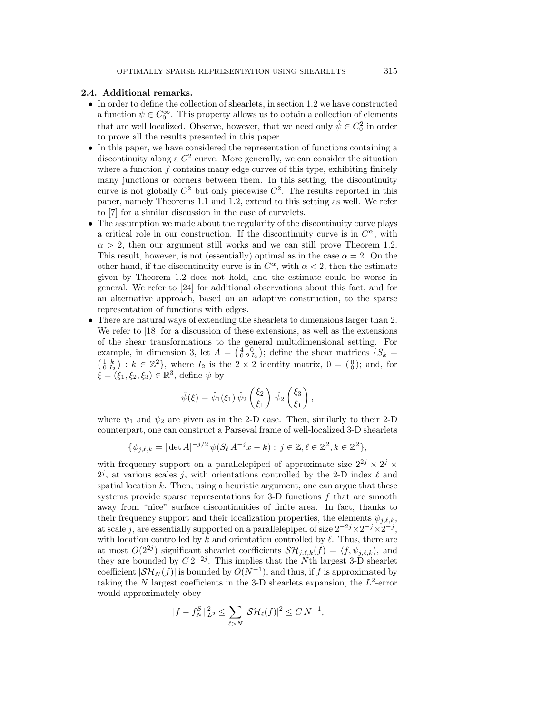## **2.4. Additional remarks.**

- In order to define the collection of shearlets, in section 1.2 we have constructed a function  $\hat{\psi} \in C_0^{\infty}$ . This property allows us to obtain a collection of elements that are well localized. Observe, however, that we need only  $\hat{\psi} \in C_0^2$  in order to prove all the results presented in this paper.
- In this paper, we have considered the representation of functions containing a discontinuity along a  $C^2$  curve. More generally, we can consider the situation where a function  $f$  contains many edge curves of this type, exhibiting finitely many junctions or corners between them. In this setting, the discontinuity curve is not globally  $C^2$  but only piecewise  $C^2$ . The results reported in this paper, namely Theorems 1.1 and 1.2, extend to this setting as well. We refer to [7] for a similar discussion in the case of curvelets.
- The assumption we made about the regularity of the discontinuity curve plays a critical role in our construction. If the discontinuity curve is in  $C^{\alpha}$ , with  $\alpha > 2$ , then our argument still works and we can still prove Theorem 1.2. This result, however, is not (essentially) optimal as in the case  $\alpha = 2$ . On the other hand, if the discontinuity curve is in  $C^{\alpha}$ , with  $\alpha < 2$ , then the estimate given by Theorem 1.2 does not hold, and the estimate could be worse in general. We refer to [24] for additional observations about this fact, and for an alternative approach, based on an adaptive construction, to the sparse representation of functions with edges.
- There are natural ways of extending the shearlets to dimensions larger than 2. We refer to [18] for a discussion of these extensions, as well as the extensions of the shear transformations to the general multidimensional setting. For example, in dimension 3, let  $A = \begin{pmatrix} 4 & 0 \\ 0 & 2I_2 \end{pmatrix}$ ; define the shear matrices  $\{S_k =$  $\left(\begin{smallmatrix} 1 & k \\ 0 & I_2 \end{smallmatrix}\right) : k \in \mathbb{Z}^2$ , where  $I_2$  is the  $2 \times 2$  identity matrix,  $0 = \left(\begin{smallmatrix} 0 \\ 0 \end{smallmatrix}\right)$ ; and, for  $\hat{\xi} = (\xi_1, \xi_2, \xi_3) \in \mathbb{R}^3$ , define  $\psi$  by

$$
\hat{\psi}(\xi) = \hat{\psi}_1(\xi_1) \hat{\psi}_2 \left(\frac{\xi_2}{\xi_1}\right) \hat{\psi}_2 \left(\frac{\xi_3}{\xi_1}\right),
$$

where  $\psi_1$  and  $\psi_2$  are given as in the 2-D case. Then, similarly to their 2-D counterpart, one can construct a Parseval frame of well-localized 3-D shearlets

$$
\{\psi_{j,\ell,k} = |\det A|^{-j/2} \psi(S_{\ell} A^{-j} x - k) : j \in \mathbb{Z}, \ell \in \mathbb{Z}^2, k \in \mathbb{Z}^2\},\
$$

with frequency support on a parallelepiped of approximate size  $2^{2j} \times 2^j \times$  $2<sup>j</sup>$ , at various scales j, with orientations controlled by the 2-D index  $\ell$  and spatial location  $k$ . Then, using a heuristic argument, one can argue that these systems provide sparse representations for 3-D functions  $f$  that are smooth away from "nice" surface discontinuities of finite area. In fact, thanks to their frequency support and their localization properties, the elements  $\psi_{j,\ell,k}$ , at scale j, are essentially supported on a parallelepiped of size  $2^{-2j} \times 2^{-j} \times 2^{-j}$ , with location controlled by k and orientation controlled by  $\ell$ . Thus, there are at most  $O(2^{2j})$  significant shearlet coefficients  $\mathcal{SH}_{j,\ell,k}(f) = \langle f, \psi_{j,\ell,k} \rangle$ , and they are bounded by  $C 2^{-2j}$ . This implies that the Nth largest 3-D shearlet coefficient  $|\mathcal{SH}_N(f)|$  is bounded by  $O(N^{-1})$ , and thus, if f is approximated by taking the N largest coefficients in the 3-D shearlets expansion, the  $L^2$ -error would approximately obey

$$
||f - f_N^S||_{L^2}^2 \le \sum_{\ell > N} |\mathcal{SH}_{\ell}(f)|^2 \le C N^{-1},
$$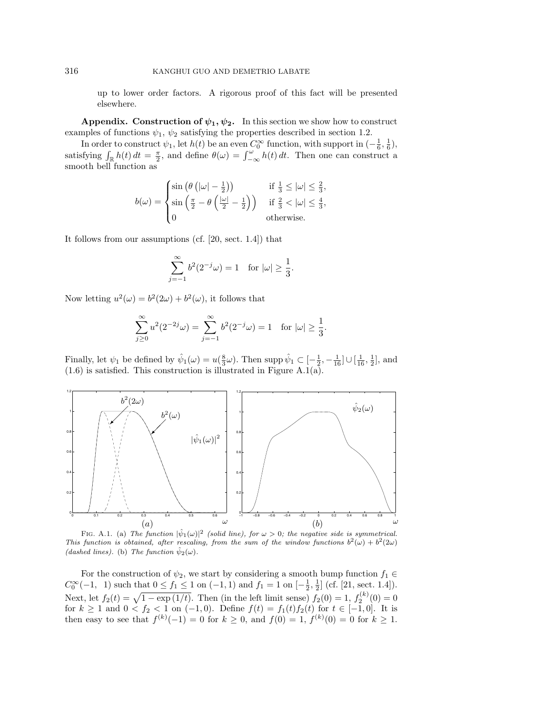up to lower order factors. A rigorous proof of this fact will be presented elsewhere.

**Appendix.** Construction of  $\psi_1, \psi_2$ . In this section we show how to construct examples of functions  $\psi_1$ ,  $\psi_2$  satisfying the properties described in section 1.2.

In order to construct  $\psi_1$ , let  $h(t)$  be an even  $C_0^{\infty}$  function, with support in  $\left(-\frac{1}{6}, \frac{1}{6}\right)$ , satisfying  $\int_{\mathbb{R}} h(t) dt = \frac{\pi}{2}$ , and define  $\theta(\omega) = \int_{-\infty}^{\omega} h(t) dt$ . Then one can construct a smooth bell function as

$$
b(\omega) = \begin{cases} \sin \left( \theta \left( |\omega| - \frac{1}{2} \right) \right) & \text{if } \frac{1}{3} \leq |\omega| \leq \frac{2}{3}, \\ \sin \left( \frac{\pi}{2} - \theta \left( \frac{|\omega|}{2} - \frac{1}{2} \right) \right) & \text{if } \frac{2}{3} < |\omega| \leq \frac{4}{3}, \\ 0 & \text{otherwise.} \end{cases}
$$

It follows from our assumptions (cf. [20, sect. 1.4]) that

$$
\sum_{j=-1}^{\infty} b^2 (2^{-j} \omega) = 1 \quad \text{for } |\omega| \ge \frac{1}{3}.
$$

Now letting  $u^2(\omega) = b^2(2\omega) + b^2(\omega)$ , it follows that

$$
\sum_{j\geq 0}^{\infty} u^2(2^{-2j}\omega) = \sum_{j=-1}^{\infty} b^2(2^{-j}\omega) = 1 \text{ for } |\omega| \geq \frac{1}{3}.
$$

Finally, let  $\psi_1$  be defined by  $\hat{\psi}_1(\omega) = u(\frac{8}{3}\omega)$ . Then supp  $\hat{\psi}_1 \subset [-\frac{1}{2}, -\frac{1}{16}] \cup [\frac{1}{16}, \frac{1}{2}]$ , and  $(1.6)$  is satisfied. This construction is illustrated in Figure A.1(a).



FIG. A.1. (a) The function  $|\hat{\psi}_1(\omega)|^2$  (solid line), for  $\omega > 0$ ; the negative side is symmetrical. This function is obtained, after rescaling, from the sum of the window functions  $b^2(\omega) + b^2(2\omega)$ (dashed lines). (b) The function  $\hat{\psi}_2(\omega)$ .

For the construction of  $\psi_2$ , we start by considering a smooth bump function  $f_1 \in$  $C_0^{\infty}(-1, 1)$  such that  $0 \le f_1 \le 1$  on  $(-1, 1)$  and  $f_1 = 1$  on  $\left[-\frac{1}{2}, \frac{1}{2}\right]$  (cf. [21, sect. 1.4]). Next, let  $f_2(t) = \sqrt{1 - \exp(1/t)}$ . Then (in the left limit sense)  $f_2(0) = 1$ ,  $f_2^{(k)}(0) = 0$ for  $k \ge 1$  and  $0 < f_2 < 1$  on  $(-1,0)$ . Define  $f(t) = f_1(t)f_2(t)$  for  $t \in [-1,0]$ . It is then easy to see that  $f^{(k)}(-1) = 0$  for  $k \ge 0$ , and  $f(0) = 1$ ,  $f^{(k)}(0) = 0$  for  $k \ge 1$ .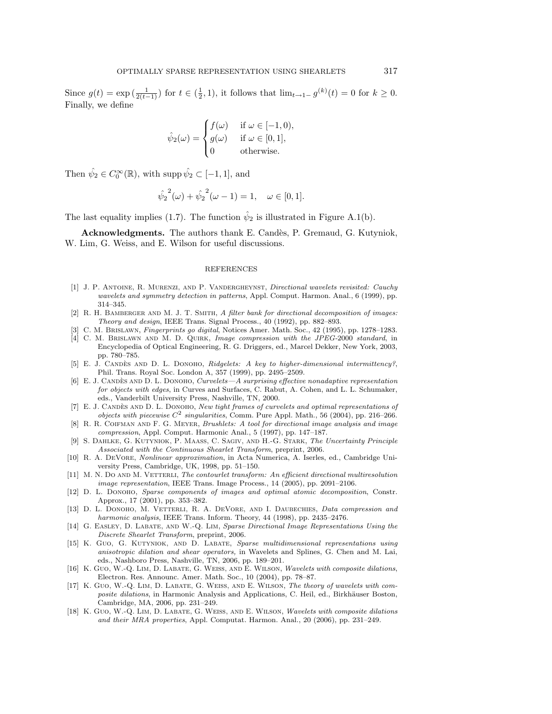Since  $g(t) = \exp\left(\frac{1}{2(t-1)}\right)$  for  $t \in \left(\frac{1}{2}, 1\right)$ , it follows that  $\lim_{t \to 1^-} g^{(k)}(t) = 0$  for  $k \ge 0$ . Finally, we define

$$
\hat{\psi}_2(\omega) = \begin{cases}\nf(\omega) & \text{if } \omega \in [-1, 0), \\
g(\omega) & \text{if } \omega \in [0, 1], \\
0 & \text{otherwise.} \n\end{cases}
$$

Then  $\hat{\psi}_2 \in C_0^{\infty}(\mathbb{R})$ , with supp  $\hat{\psi}_2 \subset [-1, 1]$ , and

$$
\hat{\psi}_2^2(\omega) + \hat{\psi}_2^2(\omega - 1) = 1, \quad \omega \in [0, 1].
$$

The last equality implies (1.7). The function  $\hat{\psi}_2$  is illustrated in Figure A.1(b).

Acknowledgments. The authors thank E. Candès, P. Gremaud, G. Kutyniok, W. Lim, G. Weiss, and E. Wilson for useful discussions.

#### REFERENCES

- [1] J. P. Antoine, R. Murenzi, and P. Vandergheynst, Directional wavelets revisited: Cauchy wavelets and symmetry detection in patterns, Appl. Comput. Harmon. Anal., 6 (1999), pp. 314–345.
- [2] R. H. BAMBERGER AND M. J. T. SMITH, A filter bank for directional decomposition of images: Theory and design, IEEE Trans. Signal Process., 40 (1992), pp. 882–893.
- [3] C. M. Brislawn, Fingerprints go digital, Notices Amer. Math. Soc., 42 (1995), pp. 1278–1283.
- [4] C. M. Brislawn and M. D. Quirk, Image compression with the JPEG-2000 standard, in Encyclopedia of Optical Engineering, R. G. Driggers, ed., Marcel Dekker, New York, 2003, pp. 780–785.
- [5] E. J. CANDÈS AND D. L. DONOHO, Ridgelets: A key to higher-dimensional intermittency?, Phil. Trans. Royal Soc. London A, 357 (1999), pp. 2495–2509.
- [6] E. J. CANDÈS AND D. L. DONOHO, Curvelets—A surprising effective nonadaptive representation for objects with edges, in Curves and Surfaces, C. Rabut, A. Cohen, and L. L. Schumaker, eds., Vanderbilt University Press, Nashville, TN, 2000.
- [7] E. J. CANDÈS AND D. L. DONOHO, New tight frames of curvelets and optimal representations of objects with piecewise  $C^2$  singularities, Comm. Pure Appl. Math., 56 (2004), pp. 216-266.
- [8] R. R. COIFMAN AND F. G. MEYER, *Brushlets: A tool for directional image analysis and image* compression, Appl. Comput. Harmonic Anal., 5 (1997), pp. 147–187.
- [9] S. Dahlke, G. Kutyniok, P. Maass, C. Sagiv, and H.-G. Stark, The Uncertainty Principle Associated with the Continuous Shearlet Transform, preprint, 2006.
- [10] R. A. DeVore, Nonlinear approximation, in Acta Numerica, A. Iserles, ed., Cambridge University Press, Cambridge, UK, 1998, pp. 51–150.
- [11] M. N. DO AND M. VETTERLI, The contourlet transform: An efficient directional multiresolution image representation, IEEE Trans. Image Process., 14 (2005), pp. 2091–2106.
- [12] D. L. DONOHO, Sparse components of images and optimal atomic decomposition, Constr. Approx., 17 (2001), pp. 353–382.
- [13] D. L. DONOHO, M. VETTERLI, R. A. DEVORE, AND I. DAUBECHIES, Data compression and harmonic analysis, IEEE Trans. Inform. Theory, 44 (1998), pp. 2435–2476.
- [14] G. EASLEY, D. LABATE, AND W.-Q. LIM, Sparse Directional Image Representations Using the Discrete Shearlet Transform, preprint, 2006.
- [15] K. Guo, G. Kutyniok, and D. Labate, Sparse multidimensional representations using anisotropic dilation and shear operators, in Wavelets and Splines, G. Chen and M. Lai, eds., Nashboro Press, Nashville, TN, 2006, pp. 189–201.
- [16] K. Guo, W.-Q. LIM, D. LABATE, G. WEISS, AND E. WILSON, Wavelets with composite dilations, Electron. Res. Announc. Amer. Math. Soc., 10 (2004), pp. 78–87.
- [17] K. Guo, W.-Q. Lim, D. Labate, G. Weiss, and E. Wilson, The theory of wavelets with composite dilations, in Harmonic Analysis and Applications, C. Heil, ed., Birkhäuser Boston, Cambridge, MA, 2006, pp. 231–249.
- [18] K. Guo, W.-Q. Lim, D. Labate, G. Weiss, and E. Wilson, Wavelets with composite dilations and their MRA properties, Appl. Computat. Harmon. Anal., 20 (2006), pp. 231–249.